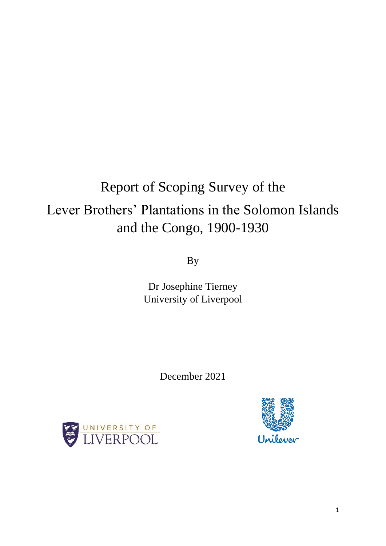# Report of Scoping Survey of the Lever Brothers' Plantations in the Solomon Islands and the Congo, 1900-1930

By

Dr Josephine Tierney University of Liverpool

December 2021



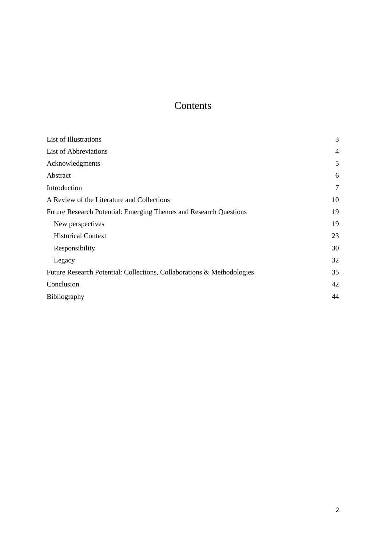# Contents

| <b>List of Illustrations</b>                                           | 3              |
|------------------------------------------------------------------------|----------------|
| <b>List of Abbreviations</b>                                           | $\overline{4}$ |
| Acknowledgments                                                        | 5              |
| Abstract                                                               | 6              |
| Introduction                                                           | 7              |
| A Review of the Literature and Collections                             | 10             |
| Future Research Potential: Emerging Themes and Research Questions      | 19             |
| New perspectives                                                       | 19             |
| <b>Historical Context</b>                                              | 23             |
| Responsibility                                                         | 30             |
| Legacy                                                                 | 32             |
| Future Research Potential: Collections, Collaborations & Methodologies | 35             |
| Conclusion                                                             | 42             |
| Bibliography                                                           | 44             |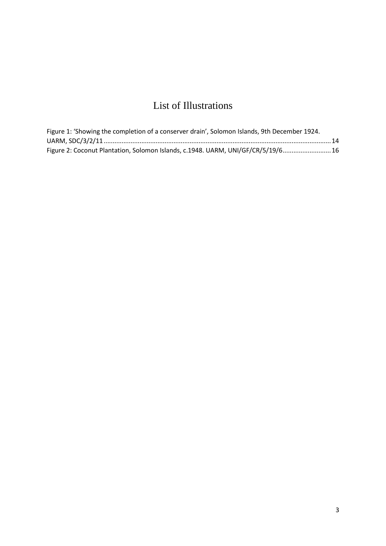# List of Illustrations

<span id="page-2-0"></span>

| Figure 1: 'Showing the completion of a conserver drain', Solomon Islands, 9th December 1924. |  |
|----------------------------------------------------------------------------------------------|--|
|                                                                                              |  |
| Figure 2: Coconut Plantation, Solomon Islands, c.1948. UARM, UNI/GF/CR/5/19/6 16             |  |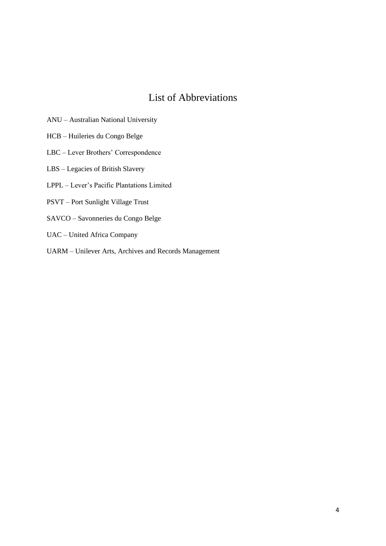# List of Abbreviations

- <span id="page-3-0"></span>ANU – Australian National University
- HCB Huileries du Congo Belge
- LBC Lever Brothers' Correspondence
- LBS Legacies of British Slavery
- LPPL Lever's Pacific Plantations Limited
- PSVT Port Sunlight Village Trust
- SAVCO Savonneries du Congo Belge
- UAC United Africa Company
- UARM Unilever Arts, Archives and Records Management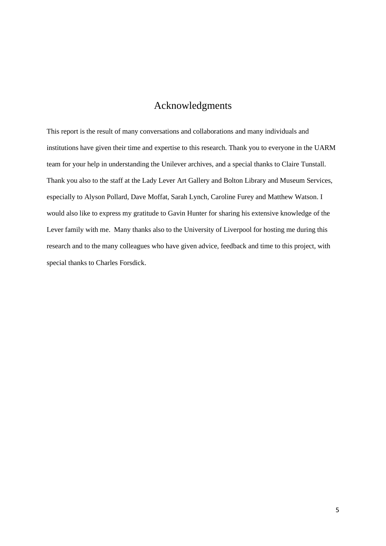## Acknowledgments

<span id="page-4-0"></span>This report is the result of many conversations and collaborations and many individuals and institutions have given their time and expertise to this research. Thank you to everyone in the UARM team for your help in understanding the Unilever archives, and a special thanks to Claire Tunstall. Thank you also to the staff at the Lady Lever Art Gallery and Bolton Library and Museum Services, especially to Alyson Pollard, Dave Moffat, Sarah Lynch, Caroline Furey and Matthew Watson. I would also like to express my gratitude to Gavin Hunter for sharing his extensive knowledge of the Lever family with me. Many thanks also to the University of Liverpool for hosting me during this research and to the many colleagues who have given advice, feedback and time to this project, with special thanks to Charles Forsdick.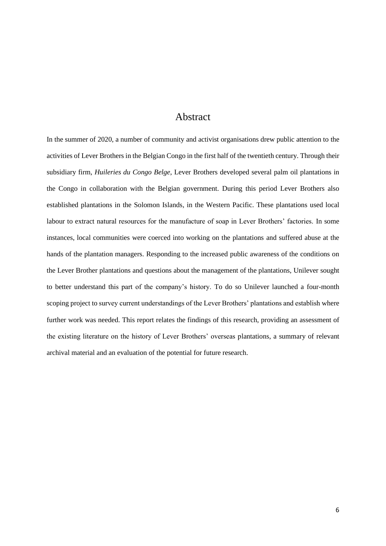### Abstract

<span id="page-5-0"></span>In the summer of 2020, a number of community and activist organisations drew public attention to the activities of Lever Brothers in the Belgian Congo in the first half of the twentieth century. Through their subsidiary firm, *Huileries du Congo Belge*, Lever Brothers developed several palm oil plantations in the Congo in collaboration with the Belgian government. During this period Lever Brothers also established plantations in the Solomon Islands, in the Western Pacific. These plantations used local labour to extract natural resources for the manufacture of soap in Lever Brothers' factories. In some instances, local communities were coerced into working on the plantations and suffered abuse at the hands of the plantation managers. Responding to the increased public awareness of the conditions on the Lever Brother plantations and questions about the management of the plantations, Unilever sought to better understand this part of the company's history. To do so Unilever launched a four-month scoping project to survey current understandings of the Lever Brothers' plantations and establish where further work was needed. This report relates the findings of this research, providing an assessment of the existing literature on the history of Lever Brothers' overseas plantations, a summary of relevant archival material and an evaluation of the potential for future research.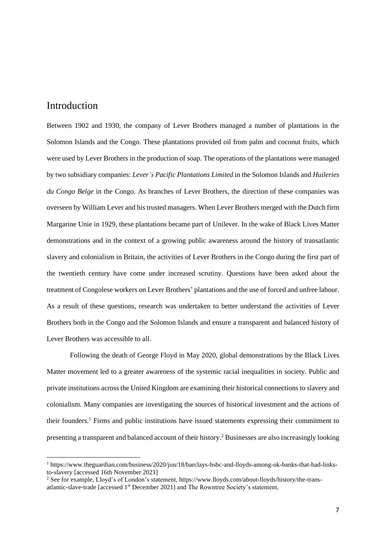## <span id="page-6-0"></span>Introduction

Between 1902 and 1930, the company of Lever Brothers managed a number of plantations in the Solomon Islands and the Congo. These plantations provided oil from palm and coconut fruits, which were used by Lever Brothers in the production of soap. The operations of the plantations were managed by two subsidiary companies: *Lever's Pacific Plantations Limited* in the Solomon Islands and *Huileries du Congo Belge* in the Congo. As branches of Lever Brothers, the direction of these companies was overseen by William Lever and his trusted managers. When Lever Brothers merged with the Dutch firm Margarine Unie in 1929, these plantations became part of Unilever. In the wake of Black Lives Matter demonstrations and in the context of a growing public awareness around the history of transatlantic slavery and colonialism in Britain, the activities of Lever Brothers in the Congo during the first part of the twentieth century have come under increased scrutiny. Questions have been asked about the treatment of Congolese workers on Lever Brothers' plantations and the use of forced and unfree labour. As a result of these questions, research was undertaken to better understand the activities of Lever Brothers both in the Congo and the Solomon Islands and ensure a transparent and balanced history of Lever Brothers was accessible to all.

Following the death of George Floyd in May 2020, global demonstrations by the Black Lives Matter movement led to a greater awareness of the systemic racial inequalities in society. Public and private institutions across the United Kingdom are examining their historical connections to slavery and colonialism. Many companies are investigating the sources of historical investment and the actions of their founders.<sup>1</sup> Firms and public institutions have issued statements expressing their commitment to presenting a transparent and balanced account of their history.<sup>2</sup> Businesses are also increasingly looking

<sup>1</sup> https://www.theguardian.com/business/2020/jun/18/barclays-hsbc-and-lloyds-among-uk-banks-that-had-linksto-slavery [accessed 16th November 2021]

<sup>2</sup> See for example, Lloyd's of London's statement, https://www.lloyds.com/about-lloyds/history/the-transatlantic-slave-trade [accessed 1st December 2021] and The Rowntree Society's statement,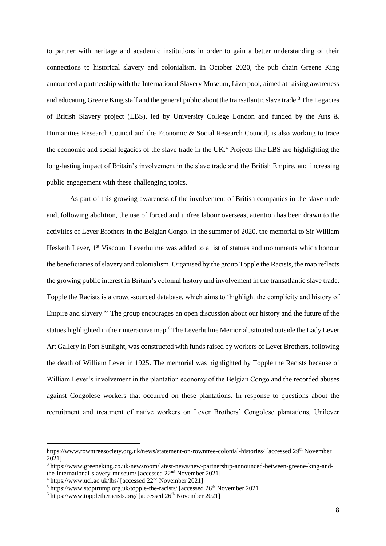to partner with heritage and academic institutions in order to gain a better understanding of their connections to historical slavery and colonialism. In October 2020, the pub chain Greene King announced a partnership with the International Slavery Museum, Liverpool, aimed at raising awareness and educating Greene King staff and the general public about the transatlantic slave trade.<sup>3</sup> The Legacies of British Slavery project (LBS), led by University College London and funded by the Arts & Humanities Research Council and the Economic & Social Research Council, is also working to trace the economic and social legacies of the slave trade in the UK.<sup>4</sup> Projects like LBS are highlighting the long-lasting impact of Britain's involvement in the slave trade and the British Empire, and increasing public engagement with these challenging topics.

As part of this growing awareness of the involvement of British companies in the slave trade and, following abolition, the use of forced and unfree labour overseas, attention has been drawn to the activities of Lever Brothers in the Belgian Congo. In the summer of 2020, the memorial to Sir William Hesketh Lever, 1<sup>st</sup> Viscount Leverhulme was added to a list of statues and monuments which honour the beneficiaries of slavery and colonialism. Organised by the group Topple the Racists, the map reflects the growing public interest in Britain's colonial history and involvement in the transatlantic slave trade. Topple the Racists is a crowd-sourced database, which aims to 'highlight the complicity and history of Empire and slavery.'<sup>5</sup> The group encourages an open discussion about our history and the future of the statues highlighted in their interactive map.<sup>6</sup> The Leverhulme Memorial, situated outside the Lady Lever Art Gallery in Port Sunlight, was constructed with funds raised by workers of Lever Brothers, following the death of William Lever in 1925. The memorial was highlighted by Topple the Racists because of William Lever's involvement in the plantation economy of the Belgian Congo and the recorded abuses against Congolese workers that occurred on these plantations. In response to questions about the recruitment and treatment of native workers on Lever Brothers' Congolese plantations, Unilever

https://www.rowntreesociety.org.uk/news/statement-on-rowntree-colonial-histories/ [accessed 29<sup>th</sup> November 2021]

<sup>3</sup> https://www.greeneking.co.uk/newsroom/latest-news/new-partnership-announced-between-greene-king-andthe-international-slavery-museum/ [accessed 22nd November 2021]

<sup>4</sup> https://www.ucl.ac.uk/lbs/ [accessed 22nd November 2021]

 $5$  https://www.stoptrump.org.uk/topple-the-racists/ [accessed 26<sup>th</sup> November 2021]

 $6$  https://www.toppletheracists.org/ [accessed 26<sup>th</sup> November 2021]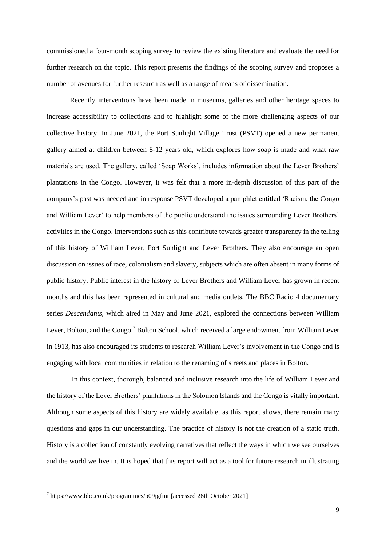commissioned a four-month scoping survey to review the existing literature and evaluate the need for further research on the topic. This report presents the findings of the scoping survey and proposes a number of avenues for further research as well as a range of means of dissemination.

Recently interventions have been made in museums, galleries and other heritage spaces to increase accessibility to collections and to highlight some of the more challenging aspects of our collective history. In June 2021, the Port Sunlight Village Trust (PSVT) opened a new permanent gallery aimed at children between 8-12 years old, which explores how soap is made and what raw materials are used. The gallery, called 'Soap Works', includes information about the Lever Brothers' plantations in the Congo. However, it was felt that a more in-depth discussion of this part of the company's past was needed and in response PSVT developed a pamphlet entitled 'Racism, the Congo and William Lever' to help members of the public understand the issues surrounding Lever Brothers' activities in the Congo. Interventions such as this contribute towards greater transparency in the telling of this history of William Lever, Port Sunlight and Lever Brothers. They also encourage an open discussion on issues of race, colonialism and slavery, subjects which are often absent in many forms of public history. Public interest in the history of Lever Brothers and William Lever has grown in recent months and this has been represented in cultural and media outlets. The BBC Radio 4 documentary series *Descendants*, which aired in May and June 2021, explored the connections between William Lever, Bolton, and the Congo.<sup>7</sup> Bolton School, which received a large endowment from William Lever in 1913, has also encouraged its students to research William Lever's involvement in the Congo and is engaging with local communities in relation to the renaming of streets and places in Bolton.

In this context, thorough, balanced and inclusive research into the life of William Lever and the history of the Lever Brothers' plantations in the Solomon Islands and the Congo is vitally important. Although some aspects of this history are widely available, as this report shows, there remain many questions and gaps in our understanding. The practice of history is not the creation of a static truth. History is a collection of constantly evolving narratives that reflect the ways in which we see ourselves and the world we live in. It is hoped that this report will act as a tool for future research in illustrating

<sup>7</sup> https://www.bbc.co.uk/programmes/p09jgfmr [accessed 28th October 2021]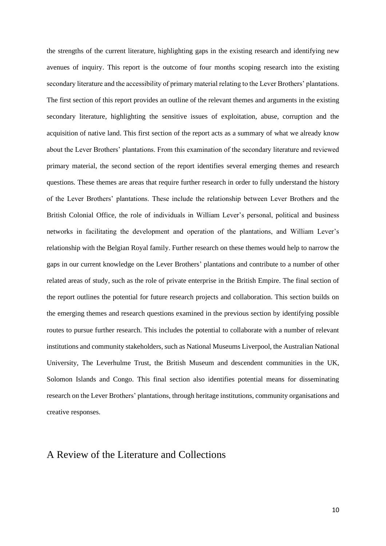the strengths of the current literature, highlighting gaps in the existing research and identifying new avenues of inquiry. This report is the outcome of four months scoping research into the existing secondary literature and the accessibility of primary material relating to the Lever Brothers' plantations. The first section of this report provides an outline of the relevant themes and arguments in the existing secondary literature, highlighting the sensitive issues of exploitation, abuse, corruption and the acquisition of native land. This first section of the report acts as a summary of what we already know about the Lever Brothers' plantations. From this examination of the secondary literature and reviewed primary material, the second section of the report identifies several emerging themes and research questions. These themes are areas that require further research in order to fully understand the history of the Lever Brothers' plantations. These include the relationship between Lever Brothers and the British Colonial Office, the role of individuals in William Lever's personal, political and business networks in facilitating the development and operation of the plantations, and William Lever's relationship with the Belgian Royal family. Further research on these themes would help to narrow the gaps in our current knowledge on the Lever Brothers' plantations and contribute to a number of other related areas of study, such as the role of private enterprise in the British Empire. The final section of the report outlines the potential for future research projects and collaboration. This section builds on the emerging themes and research questions examined in the previous section by identifying possible routes to pursue further research. This includes the potential to collaborate with a number of relevant institutions and community stakeholders, such as National Museums Liverpool, the Australian National University, The Leverhulme Trust, the British Museum and descendent communities in the UK, Solomon Islands and Congo. This final section also identifies potential means for disseminating research on the Lever Brothers' plantations, through heritage institutions, community organisations and creative responses.

## <span id="page-9-0"></span>A Review of the Literature and Collections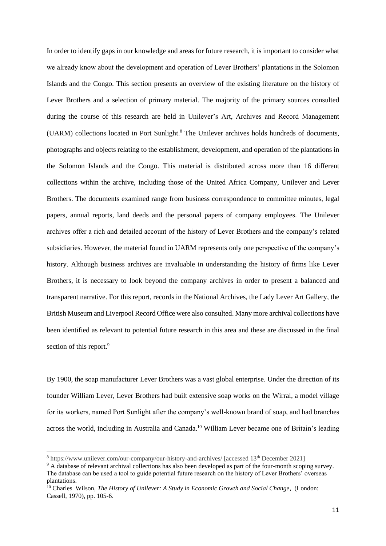In order to identify gaps in our knowledge and areas for future research, it is important to consider what we already know about the development and operation of Lever Brothers' plantations in the Solomon Islands and the Congo. This section presents an overview of the existing literature on the history of Lever Brothers and a selection of primary material. The majority of the primary sources consulted during the course of this research are held in Unilever's Art, Archives and Record Management (UARM) collections located in Port Sunlight.<sup>8</sup> The Unilever archives holds hundreds of documents, photographs and objects relating to the establishment, development, and operation of the plantations in the Solomon Islands and the Congo. This material is distributed across more than 16 different collections within the archive, including those of the United Africa Company, Unilever and Lever Brothers. The documents examined range from business correspondence to committee minutes, legal papers, annual reports, land deeds and the personal papers of company employees. The Unilever archives offer a rich and detailed account of the history of Lever Brothers and the company's related subsidiaries. However, the material found in UARM represents only one perspective of the company's history. Although business archives are invaluable in understanding the history of firms like Lever Brothers, it is necessary to look beyond the company archives in order to present a balanced and transparent narrative. For this report, records in the National Archives, the Lady Lever Art Gallery, the British Museum and Liverpool Record Office were also consulted. Many more archival collections have been identified as relevant to potential future research in this area and these are discussed in the final section of this report.<sup>9</sup>

By 1900, the soap manufacturer Lever Brothers was a vast global enterprise. Under the direction of its founder William Lever, Lever Brothers had built extensive soap works on the Wirral, a model village for its workers, named Port Sunlight after the company's well-known brand of soap, and had branches across the world, including in Australia and Canada.<sup>10</sup> William Lever became one of Britain's leading

<sup>8</sup> https://www.unilever.com/our-company/our-history-and-archives/ [accessed 13th December 2021]

<sup>9</sup> A database of relevant archival collections has also been developed as part of the four-month scoping survey. The database can be used a tool to guide potential future research on the history of Lever Brothers' overseas plantations.

<sup>&</sup>lt;sup>10</sup> Charles Wilson, *The History of Unilever: A Study in Economic Growth and Social Change*, (London: Cassell, 1970), pp. 105-6.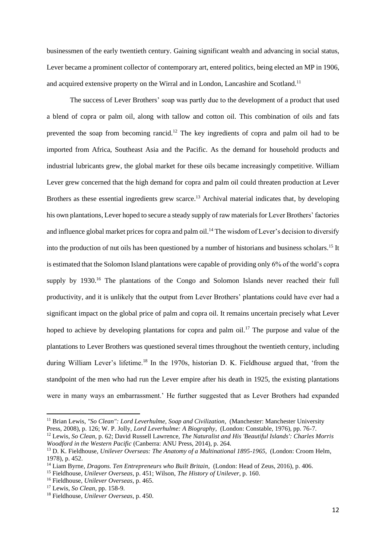businessmen of the early twentieth century. Gaining significant wealth and advancing in social status, Lever became a prominent collector of contemporary art, entered politics, being elected an MP in 1906, and acquired extensive property on the Wirral and in London, Lancashire and Scotland.<sup>11</sup>

The success of Lever Brothers' soap was partly due to the development of a product that used a blend of copra or palm oil, along with tallow and cotton oil. This combination of oils and fats prevented the soap from becoming rancid.<sup>12</sup> The key ingredients of copra and palm oil had to be imported from Africa, Southeast Asia and the Pacific. As the demand for household products and industrial lubricants grew, the global market for these oils became increasingly competitive. William Lever grew concerned that the high demand for copra and palm oil could threaten production at Lever Brothers as these essential ingredients grew scarce.<sup>13</sup> Archival material indicates that, by developing his own plantations, Lever hoped to secure a steady supply of raw materials for Lever Brothers' factories and influence global market prices for copra and palm oil.<sup>14</sup> The wisdom of Lever's decision to diversify into the production of nut oils has been questioned by a number of historians and business scholars.<sup>15</sup> It is estimated that the Solomon Island plantations were capable of providing only 6% of the world's copra supply by 1930.<sup>16</sup> The plantations of the Congo and Solomon Islands never reached their full productivity, and it is unlikely that the output from Lever Brothers' plantations could have ever had a significant impact on the global price of palm and copra oil. It remains uncertain precisely what Lever hoped to achieve by developing plantations for copra and palm oil.<sup>17</sup> The purpose and value of the plantations to Lever Brothers was questioned several times throughout the twentieth century, including during William Lever's lifetime.<sup>18</sup> In the 1970s, historian D. K. Fieldhouse argued that, 'from the standpoint of the men who had run the Lever empire after his death in 1925, the existing plantations were in many ways an embarrassment.' He further suggested that as Lever Brothers had expanded

<sup>11</sup> Brian Lewis, *"So Clean": Lord Leverhulme, Soap and Civilization*, (Manchester: Manchester University Press, 2008), p. 126; W. P. Jolly, *Lord Leverhulme: A Biography*, (London: Constable, 1976), pp. 76-7.

<sup>12</sup> Lewis, *So Clean*, p. 62; David Russell Lawrence, *The Naturalist and His 'Beautiful Islands': Charles Morris Woodford in the Western Pacific* (Canberra: ANU Press, 2014), p. 264.

<sup>&</sup>lt;sup>13</sup> D. K. Fieldhouse, *Unilever Overseas: The Anatomy of a Multinational 1895-1965*, (London: Croom Helm, 1978), p. 452.

<sup>14</sup> Liam Byrne, *Dragons. Ten Entrepreneurs who Built Britain*, (London: Head of Zeus, 2016), p. 406.

<sup>15</sup> Fieldhouse, *Unilever Overseas*, p. 451; Wilson, *The History of Unilever*, p. 160.

<sup>16</sup> Fieldhouse, *Unilever Overseas*, p. 465.

<sup>17</sup> Lewis, *So Clean*, pp. 158-9.

<sup>18</sup> Fieldhouse, *Unilever Overseas*, p. 450.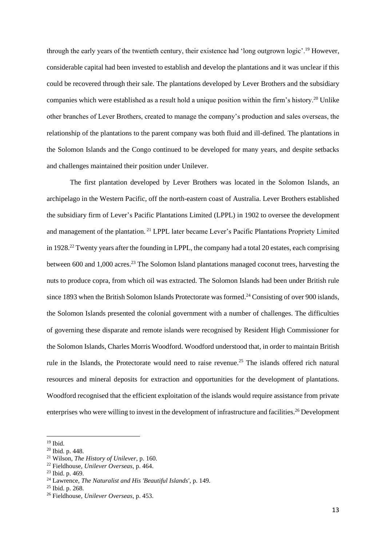through the early years of the twentieth century, their existence had 'long outgrown logic'.<sup>19</sup> However, considerable capital had been invested to establish and develop the plantations and it was unclear if this could be recovered through their sale. The plantations developed by Lever Brothers and the subsidiary companies which were established as a result hold a unique position within the firm's history.<sup>20</sup> Unlike other branches of Lever Brothers, created to manage the company's production and sales overseas, the relationship of the plantations to the parent company was both fluid and ill-defined. The plantations in the Solomon Islands and the Congo continued to be developed for many years, and despite setbacks and challenges maintained their position under Unilever.

The first plantation developed by Lever Brothers was located in the Solomon Islands, an archipelago in the Western Pacific, off the north-eastern coast of Australia. Lever Brothers established the subsidiary firm of Lever's Pacific Plantations Limited (LPPL) in 1902 to oversee the development and management of the plantation. <sup>21</sup> LPPL later became Lever's Pacific Plantations Propriety Limited in 1928.<sup>22</sup> Twenty years after the founding in LPPL, the company had a total 20 estates, each comprising between 600 and 1,000 acres.<sup>23</sup> The Solomon Island plantations managed coconut trees, harvesting the nuts to produce copra, from which oil was extracted. The Solomon Islands had been under British rule since 1893 when the British Solomon Islands Protectorate was formed.<sup>24</sup> Consisting of over 900 islands, the Solomon Islands presented the colonial government with a number of challenges. The difficulties of governing these disparate and remote islands were recognised by Resident High Commissioner for the Solomon Islands, Charles Morris Woodford. Woodford understood that, in order to maintain British rule in the Islands, the Protectorate would need to raise revenue.<sup>25</sup> The islands offered rich natural resources and mineral deposits for extraction and opportunities for the development of plantations. Woodford recognised that the efficient exploitation of the islands would require assistance from private enterprises who were willing to invest in the development of infrastructure and facilities.<sup>26</sup> Development

<sup>19</sup> Ibid.

<sup>20</sup> Ibid. p. 448.

<sup>21</sup> Wilson, *The History of Unilever*, p. 160.

<sup>22</sup> Fieldhouse, *Unilever Overseas*, p. 464.

<sup>23</sup> Ibid. p. 469.

<sup>24</sup> Lawrence, *The Naturalist and His 'Beautiful Islands'*, p. 149.

<sup>25</sup> Ibid. p. 268.

<sup>26</sup> Fieldhouse, *Unilever Overseas*, p. 453.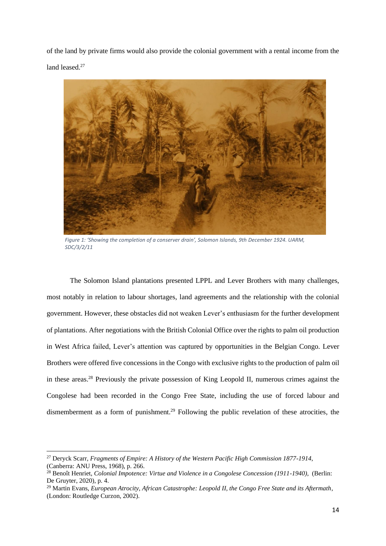of the land by private firms would also provide the colonial government with a rental income from the land leased. 27



*Figure 1: 'Showing the completion of a conserver drain', Solomon Islands, 9th December 1924. UARM, SDC/3/2/11*

The Solomon Island plantations presented LPPL and Lever Brothers with many challenges, most notably in relation to labour shortages, land agreements and the relationship with the colonial government. However, these obstacles did not weaken Lever's enthusiasm for the further development of plantations. After negotiations with the British Colonial Office over the rights to palm oil production in West Africa failed, Lever's attention was captured by opportunities in the Belgian Congo. Lever Brothers were offered five concessions in the Congo with exclusive rights to the production of palm oil in these areas.<sup>28</sup> Previously the private possession of King Leopold II, numerous crimes against the Congolese had been recorded in the Congo Free State, including the use of forced labour and dismemberment as a form of punishment.<sup>29</sup> Following the public revelation of these atrocities, the

<sup>27</sup> Deryck Scarr, *Fragments of Empire: A History of the Western Pacific High Commission 1877-1914*, (Canberra: ANU Press, 1968), p. 266.

<sup>28</sup> Benoît Henriet, *Colonial Impotence: Virtue and Violence in a Congolese Concession (1911-1940)*, (Berlin: De Gruyter, 2020), p. 4.

<sup>29</sup> Martin Evans, *European Atrocity, African Catastrophe: Leopold II, the Congo Free State and its Aftermath*, (London: Routledge Curzon, 2002).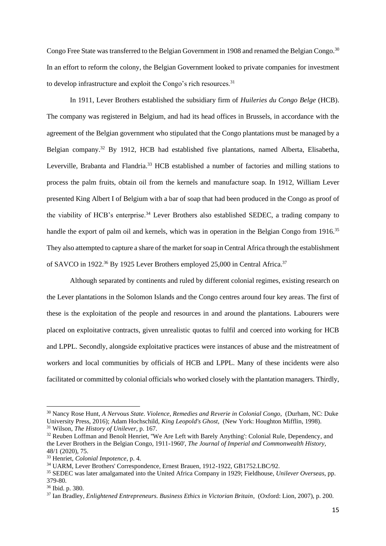Congo Free State was transferred to the Belgian Government in 1908 and renamed the Belgian Congo.<sup>30</sup> In an effort to reform the colony, the Belgian Government looked to private companies for investment to develop infrastructure and exploit the Congo's rich resources.<sup>31</sup>

In 1911, Lever Brothers established the subsidiary firm of *Huileries du Congo Belge* (HCB). The company was registered in Belgium, and had its head offices in Brussels, in accordance with the agreement of the Belgian government who stipulated that the Congo plantations must be managed by a Belgian company.<sup>32</sup> By 1912, HCB had established five plantations, named Alberta, Elisabetha, Leverville, Brabanta and Flandria.<sup>33</sup> HCB established a number of factories and milling stations to process the palm fruits, obtain oil from the kernels and manufacture soap. In 1912, William Lever presented King Albert I of Belgium with a bar of soap that had been produced in the Congo as proof of the viability of HCB's enterprise.<sup>34</sup> Lever Brothers also established SEDEC, a trading company to handle the export of palm oil and kernels, which was in operation in the Belgian Congo from 1916.<sup>35</sup> They also attempted to capture a share of the market for soap in Central Africa through the establishment of SAVCO in 1922.<sup>36</sup> By 1925 Lever Brothers employed 25,000 in Central Africa.<sup>37</sup>

Although separated by continents and ruled by different colonial regimes, existing research on the Lever plantations in the Solomon Islands and the Congo centres around four key areas. The first of these is the exploitation of the people and resources in and around the plantations. Labourers were placed on exploitative contracts, given unrealistic quotas to fulfil and coerced into working for HCB and LPPL. Secondly, alongside exploitative practices were instances of abuse and the mistreatment of workers and local communities by officials of HCB and LPPL. Many of these incidents were also facilitated or committed by colonial officials who worked closely with the plantation managers. Thirdly,

<sup>30</sup> Nancy Rose Hunt, *A Nervous State. Violence, Remedies and Reverie in Colonial Congo*, (Durham, NC: Duke University Press, 2016); Adam Hochschild, *King Leopold's Ghost*, (New York: Houghton Mifflin, 1998).

<sup>31</sup> Wilson, *The History of Unilever*, p. 167.

<sup>&</sup>lt;sup>32</sup> Reuben Loffman and Benoît Henriet, ''We Are Left with Barely Anything': Colonial Rule, Dependency, and the Lever Brothers in the Belgian Congo, 1911-1960', *The Journal of Imperial and Commonwealth History,*  48/1 (2020), 75.

<sup>33</sup> Henriet, *Colonial Impotence*, p. 4.

<sup>34</sup> UARM, Lever Brothers' Correspondence, Ernest Brauen, 1912-1922, GB1752.LBC/92.

<sup>35</sup> SEDEC was later amalgamated into the United Africa Company in 1929; Fieldhouse, *Unilever Overseas*, pp. 379-80.

<sup>36</sup> Ibid. p. 380.

<sup>37</sup> Ian Bradley, *Enlightened Entrepreneurs. Business Ethics in Victorian Britain*, (Oxford: Lion, 2007), p. 200.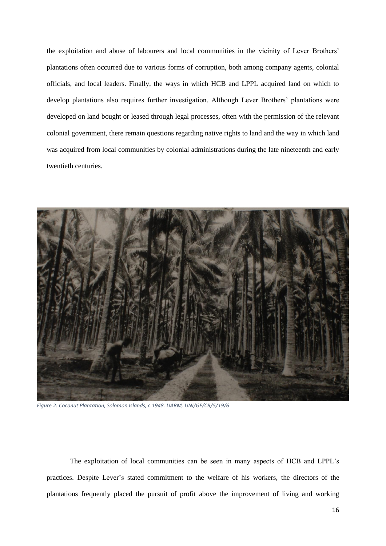the exploitation and abuse of labourers and local communities in the vicinity of Lever Brothers' plantations often occurred due to various forms of corruption, both among company agents, colonial officials, and local leaders. Finally, the ways in which HCB and LPPL acquired land on which to develop plantations also requires further investigation. Although Lever Brothers' plantations were developed on land bought or leased through legal processes, often with the permission of the relevant colonial government, there remain questions regarding native rights to land and the way in which land was acquired from local communities by colonial administrations during the late nineteenth and early twentieth centuries.



*Figure 2: Coconut Plantation, Solomon Islands, c.1948. UARM, UNI/GF/CR/5/19/6*

The exploitation of local communities can be seen in many aspects of HCB and LPPL's practices. Despite Lever's stated commitment to the welfare of his workers, the directors of the plantations frequently placed the pursuit of profit above the improvement of living and working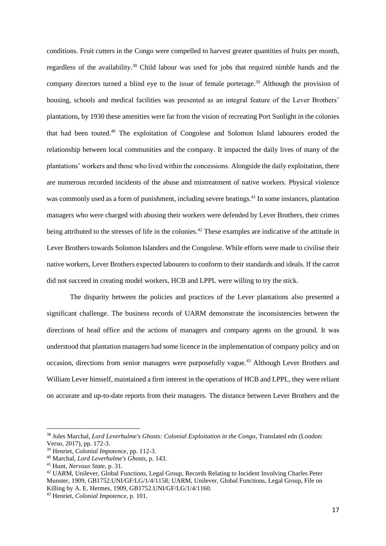conditions. Fruit cutters in the Congo were compelled to harvest greater quantities of fruits per month, regardless of the availability.<sup>38</sup> Child labour was used for jobs that required nimble hands and the company directors turned a blind eye to the issue of female porterage.<sup>39</sup> Although the provision of housing, schools and medical facilities was presented as an integral feature of the Lever Brothers' plantations, by 1930 these amenities were far from the vision of recreating Port Sunlight in the colonies that had been touted. <sup>40</sup> The exploitation of Congolese and Solomon Island labourers eroded the relationship between local communities and the company. It impacted the daily lives of many of the plantations' workers and those who lived within the concessions. Alongside the daily exploitation, there are numerous recorded incidents of the abuse and mistreatment of native workers. Physical violence was commonly used as a form of punishment, including severe beatings.<sup>41</sup> In some instances, plantation managers who were charged with abusing their workers were defended by Lever Brothers, their crimes being attributed to the stresses of life in the colonies.<sup>42</sup> These examples are indicative of the attitude in Lever Brothers towards Solomon Islanders and the Congolese. While efforts were made to civilise their native workers, Lever Brothers expected labourers to conform to their standards and ideals. If the carrot did not succeed in creating model workers, HCB and LPPL were willing to try the stick.

The disparity between the policies and practices of the Lever plantations also presented a significant challenge. The business records of UARM demonstrate the inconsistencies between the directions of head office and the actions of managers and company agents on the ground. It was understood that plantation managers had some licence in the implementation of company policy and on occasion, directions from senior managers were purposefully vague.<sup>43</sup> Although Lever Brothers and William Lever himself, maintained a firm interest in the operations of HCB and LPPL, they were reliant on accurate and up-to-date reports from their managers. The distance between Lever Brothers and the

<sup>38</sup> Jules Marchal, *Lord Leverhulme's Ghosts: Colonial Exploitation in the Congo*, Translated edn (London: Verso, 2017), pp. 172-3.

<sup>39</sup> Henriet, *Colonial Impotence*, pp. 112-3.

<sup>40</sup> Marchal, *Lord Leverhulme's Ghosts*, p. 143.

<sup>41</sup> Hunt, *Nervous State*, p. 31.

<sup>42</sup> UARM, Unilever, Global Functions, Legal Group, Records Relating to Incident Involving Charles Peter Munster, 1909, GB1752.UNI/GF/LG/1/4/1158; UARM, Unilever, Global Functions, Legal Group, File on Killing by A. E. Hermes, 1909, GB1752.UNI/GF/LG/1/4/1160.

<sup>43</sup> Henriet, *Colonial Impotence*, p. 101.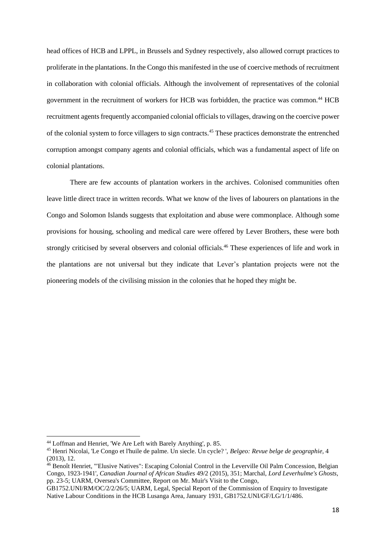head offices of HCB and LPPL, in Brussels and Sydney respectively, also allowed corrupt practices to proliferate in the plantations. In the Congo this manifested in the use of coercive methods of recruitment in collaboration with colonial officials. Although the involvement of representatives of the colonial government in the recruitment of workers for HCB was forbidden, the practice was common.<sup>44</sup> HCB recruitment agents frequently accompanied colonial officials to villages, drawing on the coercive power of the colonial system to force villagers to sign contracts.<sup>45</sup> These practices demonstrate the entrenched corruption amongst company agents and colonial officials, which was a fundamental aspect of life on colonial plantations.

There are few accounts of plantation workers in the archives. Colonised communities often leave little direct trace in written records. What we know of the lives of labourers on plantations in the Congo and Solomon Islands suggests that exploitation and abuse were commonplace. Although some provisions for housing, schooling and medical care were offered by Lever Brothers, these were both strongly criticised by several observers and colonial officials.<sup>46</sup> These experiences of life and work in the plantations are not universal but they indicate that Lever's plantation projects were not the pioneering models of the civilising mission in the colonies that he hoped they might be.

<sup>44</sup> Loffman and Henriet, 'We Are Left with Barely Anything', p. 85.

<sup>45</sup> Henri Nicolai, 'Le Congo et l'huile de palme. Un siecle. Un cycle? ', *Belgeo: Revue belge de geographie,* 4 (2013), 12.

<sup>46</sup> Benoît Henriet, '"Elusive Natives": Escaping Colonial Control in the Leverville Oil Palm Concession, Belgian Congo, 1923-1941', *Canadian Journal of African Studies* 49/2 (2015), 351; Marchal, *Lord Leverhulme's Ghosts*, pp. 23-5; UARM, Oversea's Committee, Report on Mr. Muir's Visit to the Congo,

GB1752.UNI/RM/OC/2/2/26/5; UARM, Legal, Special Report of the Commission of Enquiry to Investigate Native Labour Conditions in the HCB Lusanga Area, January 1931, GB1752.UNI/GF/LG/1/1/486.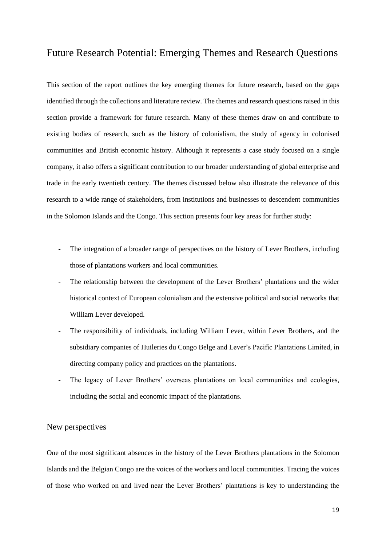### <span id="page-18-0"></span>Future Research Potential: Emerging Themes and Research Questions

This section of the report outlines the key emerging themes for future research, based on the gaps identified through the collections and literature review. The themes and research questions raised in this section provide a framework for future research. Many of these themes draw on and contribute to existing bodies of research, such as the history of colonialism, the study of agency in colonised communities and British economic history. Although it represents a case study focused on a single company, it also offers a significant contribution to our broader understanding of global enterprise and trade in the early twentieth century. The themes discussed below also illustrate the relevance of this research to a wide range of stakeholders, from institutions and businesses to descendent communities in the Solomon Islands and the Congo. This section presents four key areas for further study:

- The integration of a broader range of perspectives on the history of Lever Brothers, including those of plantations workers and local communities.
- The relationship between the development of the Lever Brothers' plantations and the wider historical context of European colonialism and the extensive political and social networks that William Lever developed.
- The responsibility of individuals, including William Lever, within Lever Brothers, and the subsidiary companies of Huileries du Congo Belge and Lever's Pacific Plantations Limited, in directing company policy and practices on the plantations.
- The legacy of Lever Brothers' overseas plantations on local communities and ecologies, including the social and economic impact of the plantations.

#### <span id="page-18-1"></span>New perspectives

One of the most significant absences in the history of the Lever Brothers plantations in the Solomon Islands and the Belgian Congo are the voices of the workers and local communities. Tracing the voices of those who worked on and lived near the Lever Brothers' plantations is key to understanding the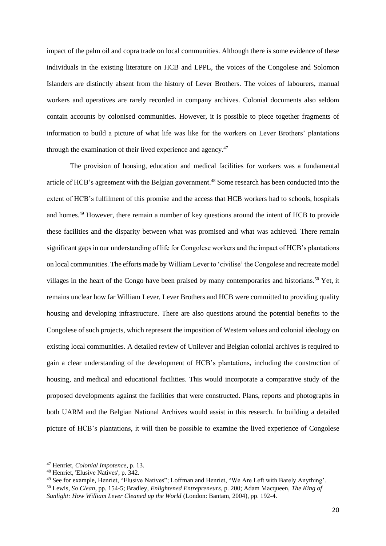impact of the palm oil and copra trade on local communities. Although there is some evidence of these individuals in the existing literature on HCB and LPPL, the voices of the Congolese and Solomon Islanders are distinctly absent from the history of Lever Brothers. The voices of labourers, manual workers and operatives are rarely recorded in company archives. Colonial documents also seldom contain accounts by colonised communities. However, it is possible to piece together fragments of information to build a picture of what life was like for the workers on Lever Brothers' plantations through the examination of their lived experience and agency.<sup>47</sup>

The provision of housing, education and medical facilities for workers was a fundamental article of HCB's agreement with the Belgian government.<sup>48</sup> Some research has been conducted into the extent of HCB's fulfilment of this promise and the access that HCB workers had to schools, hospitals and homes.<sup>49</sup> However, there remain a number of key questions around the intent of HCB to provide these facilities and the disparity between what was promised and what was achieved. There remain significant gaps in our understanding of life for Congolese workers and the impact of HCB's plantations on local communities. The efforts made by William Lever to 'civilise' the Congolese and recreate model villages in the heart of the Congo have been praised by many contemporaries and historians.<sup>50</sup> Yet, it remains unclear how far William Lever, Lever Brothers and HCB were committed to providing quality housing and developing infrastructure. There are also questions around the potential benefits to the Congolese of such projects, which represent the imposition of Western values and colonial ideology on existing local communities. A detailed review of Unilever and Belgian colonial archives is required to gain a clear understanding of the development of HCB's plantations, including the construction of housing, and medical and educational facilities. This would incorporate a comparative study of the proposed developments against the facilities that were constructed. Plans, reports and photographs in both UARM and the Belgian National Archives would assist in this research. In building a detailed picture of HCB's plantations, it will then be possible to examine the lived experience of Congolese

<sup>47</sup> Henriet, *Colonial Impotence*, p. 13.

<sup>48</sup> Henriet, 'Elusive Natives', p. 342.

<sup>49</sup> See for example, Henriet, "Elusive Natives"; Loffman and Henriet, "We Are Left with Barely Anything'.

<sup>50</sup> Lewis, *So Clean*, pp. 154-5; Bradley, *Enlightened Entrepreneurs*, p. 200; Adam Macqueen, *The King of*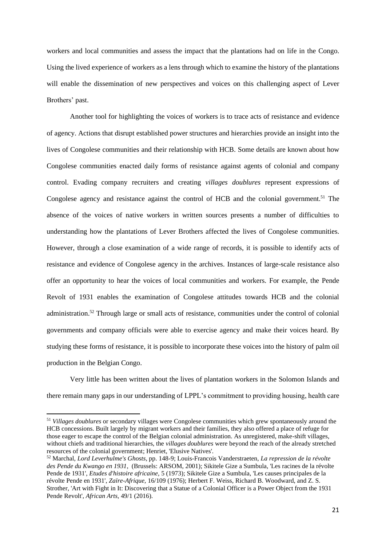workers and local communities and assess the impact that the plantations had on life in the Congo. Using the lived experience of workers as a lens through which to examine the history of the plantations will enable the dissemination of new perspectives and voices on this challenging aspect of Lever Brothers' past.

Another tool for highlighting the voices of workers is to trace acts of resistance and evidence of agency. Actions that disrupt established power structures and hierarchies provide an insight into the lives of Congolese communities and their relationship with HCB. Some details are known about how Congolese communities enacted daily forms of resistance against agents of colonial and company control. Evading company recruiters and creating *villages doublures* represent expressions of Congolese agency and resistance against the control of HCB and the colonial government.<sup>51</sup> The absence of the voices of native workers in written sources presents a number of difficulties to understanding how the plantations of Lever Brothers affected the lives of Congolese communities. However, through a close examination of a wide range of records, it is possible to identify acts of resistance and evidence of Congolese agency in the archives. Instances of large-scale resistance also offer an opportunity to hear the voices of local communities and workers. For example, the Pende Revolt of 1931 enables the examination of Congolese attitudes towards HCB and the colonial administration.<sup>52</sup> Through large or small acts of resistance, communities under the control of colonial governments and company officials were able to exercise agency and make their voices heard. By studying these forms of resistance, it is possible to incorporate these voices into the history of palm oil production in the Belgian Congo.

Very little has been written about the lives of plantation workers in the Solomon Islands and there remain many gaps in our understanding of LPPL's commitment to providing housing, health care

<sup>51</sup> *Villages doublures* or secondary villages were Congolese communities which grew spontaneously around the HCB concessions. Built largely by migrant workers and their families, they also offered a place of refuge for those eager to escape the control of the Belgian colonial administration. As unregistered, make-shift villages, without chiefs and traditional hierarchies, the *villages doublures* were beyond the reach of the already stretched resources of the colonial government; Henriet, 'Elusive Natives'.

<sup>52</sup> Marchal, *Lord Leverhulme's Ghosts*, pp. 148-9; Louis-Francois Vanderstraeten, *La repression de la révolte des Pende du Kwango en 1931*, (Brussels: ARSOM, 2001); Sikitele Gize a Sumbula, 'Les racines de la révolte Pende de 1931', *Etudes d'histoire africaine,* 5 (1973); Sikitele Gize a Sumbula, 'Les causes principales de la révolte Pende en 1931', *Zaïre-Afrique,* 16/109 (1976); Herbert F. Weiss, Richard B. Woodward, and Z. S. Strother, 'Art with Fight in It: Discovering that a Statue of a Colonial Officer is a Power Object from the 1931 Pende Revolt', *African Arts,* 49/1 (2016).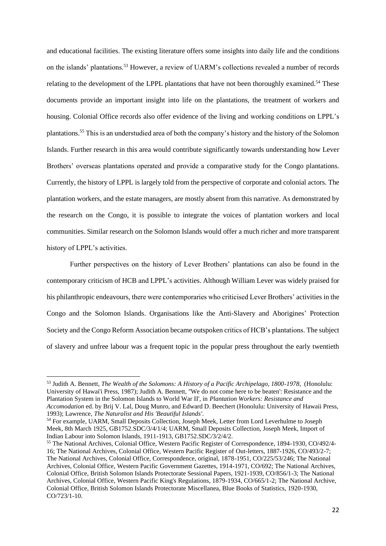and educational facilities. The existing literature offers some insights into daily life and the conditions on the islands' plantations.<sup>53</sup> However, a review of UARM's collections revealed a number of records relating to the development of the LPPL plantations that have not been thoroughly examined.<sup>54</sup> These documents provide an important insight into life on the plantations, the treatment of workers and housing. Colonial Office records also offer evidence of the living and working conditions on LPPL's plantations. <sup>55</sup> This is an understudied area of both the company's history and the history of the Solomon Islands. Further research in this area would contribute significantly towards understanding how Lever Brothers' overseas plantations operated and provide a comparative study for the Congo plantations. Currently, the history of LPPL is largely told from the perspective of corporate and colonial actors. The plantation workers, and the estate managers, are mostly absent from this narrative. As demonstrated by the research on the Congo, it is possible to integrate the voices of plantation workers and local communities. Similar research on the Solomon Islands would offer a much richer and more transparent history of LPPL's activities.

Further perspectives on the history of Lever Brothers' plantations can also be found in the contemporary criticism of HCB and LPPL's activities. Although William Lever was widely praised for his philanthropic endeavours, there were contemporaries who criticised Lever Brothers' activities in the Congo and the Solomon Islands. Organisations like the Anti-Slavery and Aborigines' Protection Society and the Congo Reform Association became outspoken critics of HCB's plantations. The subject of slavery and unfree labour was a frequent topic in the popular press throughout the early twentieth

<sup>53</sup> Judith A. Bennett, *The Wealth of the Solomons: A History of a Pacific Archipelago, 1800-1978*, (Honolulu: University of Hawai'i Press, 1987); Judith A. Bennett, ''We do not come here to be beaten': Resistance and the Plantation System in the Solomon Islands to World War II', in *Plantation Workers: Resistance and Accomodation* ed. by Brij V. Lal, Doug Munro, and Edward D. Beechert (Honolulu: University of Hawaii Press, 1993); Lawrence, *The Naturalist and His 'Beautiful Islands'*.

<sup>54</sup> For example, UARM, Small Deposits Collection, Joseph Meek, Letter from Lord Leverhulme to Joseph Meek, 8th March 1925, GB1752.SDC/3/4/1/4; UARM, Small Deposits Collection, Joseph Meek, Import of Indian Labour into Solomon Islands, 1911-1913, GB1752.SDC/3/2/4/2.

<sup>55</sup> The National Archives, Colonial Office, Western Pacific Register of Correspondence, 1894-1930, CO/492/4- 16; The National Archives, Colonial Office, Western Pacific Register of Out-letters, 1887-1926, CO/493/2-7; The National Archives, Colonial Office, Correspondence, original, 1878-1951, CO/225/53/246; The National Archives, Colonial Office, Western Pacific Government Gazettes, 1914-1971, CO/692; The National Archives, Colonial Office, British Solomon Islands Protectorate Sessional Papers, 1921-1939, CO/856/1-3; The National Archives, Colonial Office, Western Pacific King's Regulations, 1879-1934, CO/665/1-2; The National Archive, Colonial Office, British Solomon Islands Protectorate Miscellanea, Blue Books of Statistics, 1920-1930, CO/723/1-10.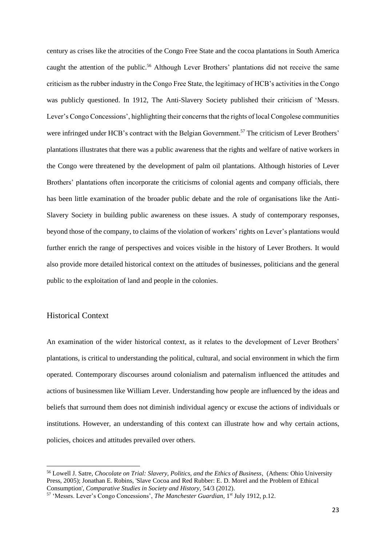century as crises like the atrocities of the Congo Free State and the cocoa plantations in South America caught the attention of the public.<sup>56</sup> Although Lever Brothers' plantations did not receive the same criticism as the rubber industry in the Congo Free State, the legitimacy of HCB's activities in the Congo was publicly questioned. In 1912, The Anti-Slavery Society published their criticism of 'Messrs. Lever's Congo Concessions', highlighting their concerns that the rights of local Congolese communities were infringed under HCB's contract with the Belgian Government.<sup>57</sup> The criticism of Lever Brothers' plantations illustrates that there was a public awareness that the rights and welfare of native workers in the Congo were threatened by the development of palm oil plantations. Although histories of Lever Brothers' plantations often incorporate the criticisms of colonial agents and company officials, there has been little examination of the broader public debate and the role of organisations like the Anti-Slavery Society in building public awareness on these issues. A study of contemporary responses, beyond those of the company, to claims of the violation of workers' rights on Lever's plantations would further enrich the range of perspectives and voices visible in the history of Lever Brothers. It would also provide more detailed historical context on the attitudes of businesses, politicians and the general public to the exploitation of land and people in the colonies.

#### <span id="page-22-0"></span>Historical Context

An examination of the wider historical context, as it relates to the development of Lever Brothers' plantations, is critical to understanding the political, cultural, and social environment in which the firm operated. Contemporary discourses around colonialism and paternalism influenced the attitudes and actions of businessmen like William Lever. Understanding how people are influenced by the ideas and beliefs that surround them does not diminish individual agency or excuse the actions of individuals or institutions. However, an understanding of this context can illustrate how and why certain actions, policies, choices and attitudes prevailed over others.

<sup>56</sup> Lowell J. Satre, *Chocolate on Trial: Slavery, Politics, and the Ethics of Business*, (Athens: Ohio University Press, 2005); Jonathan E. Robins, 'Slave Cocoa and Red Rubber: E. D. Morel and the Problem of Ethical Consumption', *Comparative Studies in Society and History,* 54/3 (2012).

<sup>57</sup> 'Messrs. Lever's Congo Concessions', *The Manchester Guardian*, 1st July 1912, p.12.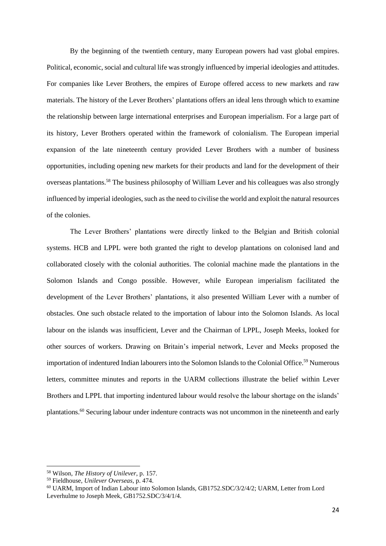By the beginning of the twentieth century, many European powers had vast global empires. Political, economic, social and cultural life was strongly influenced by imperial ideologies and attitudes. For companies like Lever Brothers, the empires of Europe offered access to new markets and raw materials. The history of the Lever Brothers' plantations offers an ideal lens through which to examine the relationship between large international enterprises and European imperialism. For a large part of its history, Lever Brothers operated within the framework of colonialism. The European imperial expansion of the late nineteenth century provided Lever Brothers with a number of business opportunities, including opening new markets for their products and land for the development of their overseas plantations.<sup>58</sup> The business philosophy of William Lever and his colleagues was also strongly influenced by imperial ideologies, such as the need to civilise the world and exploit the natural resources of the colonies.

The Lever Brothers' plantations were directly linked to the Belgian and British colonial systems. HCB and LPPL were both granted the right to develop plantations on colonised land and collaborated closely with the colonial authorities. The colonial machine made the plantations in the Solomon Islands and Congo possible. However, while European imperialism facilitated the development of the Lever Brothers' plantations, it also presented William Lever with a number of obstacles. One such obstacle related to the importation of labour into the Solomon Islands. As local labour on the islands was insufficient, Lever and the Chairman of LPPL, Joseph Meeks, looked for other sources of workers. Drawing on Britain's imperial network, Lever and Meeks proposed the importation of indentured Indian labourers into the Solomon Islands to the Colonial Office. <sup>59</sup> Numerous letters, committee minutes and reports in the UARM collections illustrate the belief within Lever Brothers and LPPL that importing indentured labour would resolve the labour shortage on the islands' plantations.<sup>60</sup> Securing labour under indenture contracts was not uncommon in the nineteenth and early

<sup>58</sup> Wilson, *The History of Unilever*, p. 157.

<sup>59</sup> Fieldhouse, *Unilever Overseas*, p. 474.

<sup>60</sup> UARM, Import of Indian Labour into Solomon Islands, GB1752.SDC/3/2/4/2; UARM, Letter from Lord Leverhulme to Joseph Meek, GB1752.SDC/3/4/1/4.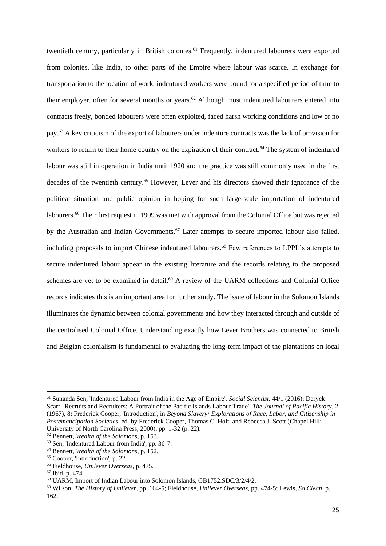twentieth century, particularly in British colonies.<sup>61</sup> Frequently, indentured labourers were exported from colonies, like India, to other parts of the Empire where labour was scarce. In exchange for transportation to the location of work, indentured workers were bound for a specified period of time to their employer, often for several months or years.<sup>62</sup> Although most indentured labourers entered into contracts freely, bonded labourers were often exploited, faced harsh working conditions and low or no pay.<sup>63</sup> A key criticism of the export of labourers under indenture contracts was the lack of provision for workers to return to their home country on the expiration of their contract.<sup>64</sup> The system of indentured labour was still in operation in India until 1920 and the practice was still commonly used in the first decades of the twentieth century.<sup>65</sup> However, Lever and his directors showed their ignorance of the political situation and public opinion in hoping for such large-scale importation of indentured labourers.<sup>66</sup> Their first request in 1909 was met with approval from the Colonial Office but was rejected by the Australian and Indian Governments.<sup>67</sup> Later attempts to secure imported labour also failed, including proposals to import Chinese indentured labourers.<sup>68</sup> Few references to LPPL's attempts to secure indentured labour appear in the existing literature and the records relating to the proposed schemes are yet to be examined in detail.<sup>69</sup> A review of the UARM collections and Colonial Office records indicates this is an important area for further study. The issue of labour in the Solomon Islands illuminates the dynamic between colonial governments and how they interacted through and outside of the centralised Colonial Office. Understanding exactly how Lever Brothers was connected to British and Belgian colonialism is fundamental to evaluating the long-term impact of the plantations on local

<sup>61</sup> Sunanda Sen, 'Indentured Labour from India in the Age of Empire', *Social Scientist,* 44/1 (2016); Deryck Scarr, 'Recruits and Recruiters: A Portrait of the Pacific Islands Labour Trade', *The Journal of Pacific History,* 2 (1967), 8; Frederick Cooper, 'Introduction', in *Beyond Slavery: Explorations of Race, Labor, and Citizenship in Postemancipation Societies,* ed. by Frederick Cooper, Thomas C. Holt, and Rebecca J. Scott (Chapel Hill: University of North Carolina Press, 2000), pp. 1-32 (p. 22).

<sup>62</sup> Bennett, *Wealth of the Solomons*, p. 153.

<sup>63</sup> Sen, 'Indentured Labour from India', pp. 36-7.

<sup>64</sup> Bennett, *Wealth of the Solomons*, p. 152.

<sup>65</sup> Cooper, 'Introduction', p. 22.

<sup>66</sup> Fieldhouse, *Unilever Overseas*, p. 475.

<sup>67</sup> Ibid. p. 474.

<sup>68</sup> UARM, Import of Indian Labour into Solomon Islands, GB1752.SDC/3/2/4/2.

<sup>69</sup> Wilson, *The History of Unilever*, pp. 164-5; Fieldhouse, *Unilever Overseas*, pp. 474-5; Lewis, *So Clean*, p. 162.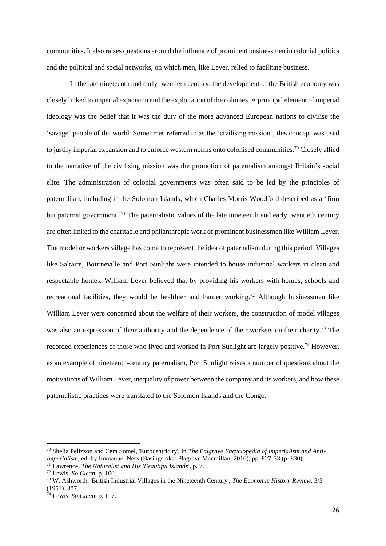communities. It also raises questions around the influence of prominent businessmen in colonial politics and the political and social networks, on which men, like Lever, relied to facilitate business.

In the late nineteenth and early twentieth century, the development of the British economy was closely linked to imperial expansion and the exploitation of the colonies. A principal element of imperial ideology was the belief that it was the duty of the more advanced European nations to civilise the 'savage' people of the world. Sometimes referred to as the 'civilising mission', this concept was used to justify imperial expansion and to enforce western norms onto colonised communities.<sup>70</sup> Closely allied to the narrative of the civilising mission was the promotion of paternalism amongst Britain's social elite. The administration of colonial governments was often said to be led by the principles of paternalism, including in the Solomon Islands, which Charles Morris Woodford described as a 'firm but paternal government.<sup>'71</sup> The paternalistic values of the late nineteenth and early twentieth century are often linked to the charitable and philanthropic work of prominent businessmen like William Lever. The model or workers village has come to represent the idea of paternalism during this period. Villages like Saltaire, Bourneville and Port Sunlight were intended to house industrial workers in clean and respectable homes. William Lever believed that by providing his workers with homes, schools and recreational facilities, they would be healthier and harder working.<sup>72</sup> Although businessmen like William Lever were concerned about the welfare of their workers, the construction of model villages was also an expression of their authority and the dependence of their workers on their charity.<sup>73</sup> The recorded experiences of those who lived and worked in Port Sunlight are largely positive.<sup>74</sup> However, as an example of nineteenth-century paternalism, Port Sunlight raises a number of questions about the motivations of William Lever, inequality of power between the company and its workers, and how these paternalistic practices were translated to the Solomon Islands and the Congo.

<sup>70</sup> Shelia Pelizzon and Cem Somel, 'Eurocentricity', in *The Palgrave Encyclopedia of Imperialism and Anti-Imperialism,* ed. by Immanuel Ness (Basingstoke: Plagrave Macmillan, 2016), pp. 827-33 (p. 830).

<sup>71</sup> Lawrence, *The Naturalist and His 'Beautiful Islands'*, p. 7.

<sup>72</sup> Lewis, *So Clean*, p. 100.

<sup>73</sup> W. Ashworth, 'British Industrial Villages in the Nineteenth Century', *The Economic History Review,* 3/3 (1951), 387.

<sup>74</sup> Lewis, *So Clean*, p. 117.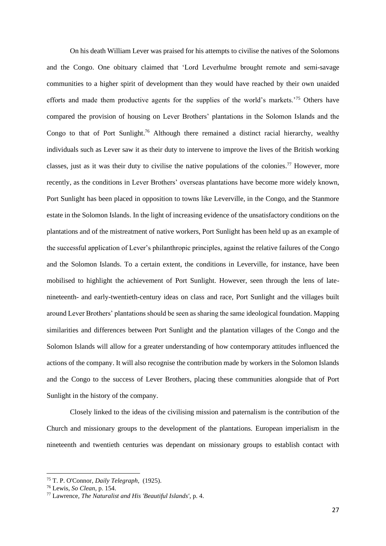On his death William Lever was praised for his attempts to civilise the natives of the Solomons and the Congo. One obituary claimed that 'Lord Leverhulme brought remote and semi-savage communities to a higher spirit of development than they would have reached by their own unaided efforts and made them productive agents for the supplies of the world's markets.'<sup>75</sup> Others have compared the provision of housing on Lever Brothers' plantations in the Solomon Islands and the Congo to that of Port Sunlight. <sup>76</sup> Although there remained a distinct racial hierarchy, wealthy individuals such as Lever saw it as their duty to intervene to improve the lives of the British working classes, just as it was their duty to civilise the native populations of the colonies.<sup>77</sup> However, more recently, as the conditions in Lever Brothers' overseas plantations have become more widely known, Port Sunlight has been placed in opposition to towns like Leverville, in the Congo, and the Stanmore estate in the Solomon Islands. In the light of increasing evidence of the unsatisfactory conditions on the plantations and of the mistreatment of native workers, Port Sunlight has been held up as an example of the successful application of Lever's philanthropic principles, against the relative failures of the Congo and the Solomon Islands. To a certain extent, the conditions in Leverville, for instance, have been mobilised to highlight the achievement of Port Sunlight. However, seen through the lens of latenineteenth- and early-twentieth-century ideas on class and race, Port Sunlight and the villages built around Lever Brothers' plantations should be seen as sharing the same ideological foundation. Mapping similarities and differences between Port Sunlight and the plantation villages of the Congo and the Solomon Islands will allow for a greater understanding of how contemporary attitudes influenced the actions of the company. It will also recognise the contribution made by workers in the Solomon Islands and the Congo to the success of Lever Brothers, placing these communities alongside that of Port Sunlight in the history of the company.

Closely linked to the ideas of the civilising mission and paternalism is the contribution of the Church and missionary groups to the development of the plantations. European imperialism in the nineteenth and twentieth centuries was dependant on missionary groups to establish contact with

<sup>75</sup> T. P. O'Connor, *Daily Telegraph,* (1925).

<sup>76</sup> Lewis, *So Clean*, p. 154.

<sup>77</sup> Lawrence, *The Naturalist and His 'Beautiful Islands'*, p. 4.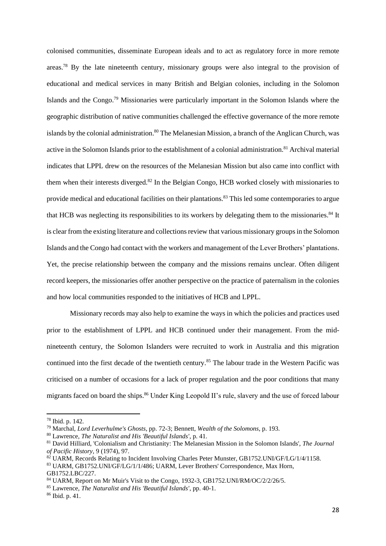colonised communities, disseminate European ideals and to act as regulatory force in more remote areas.<sup>78</sup> By the late nineteenth century, missionary groups were also integral to the provision of educational and medical services in many British and Belgian colonies, including in the Solomon Islands and the Congo.<sup>79</sup> Missionaries were particularly important in the Solomon Islands where the geographic distribution of native communities challenged the effective governance of the more remote islands by the colonial administration.<sup>80</sup> The Melanesian Mission, a branch of the Anglican Church, was active in the Solomon Islands prior to the establishment of a colonial administration.<sup>81</sup> Archival material indicates that LPPL drew on the resources of the Melanesian Mission but also came into conflict with them when their interests diverged.<sup>82</sup> In the Belgian Congo, HCB worked closely with missionaries to provide medical and educational facilities on their plantations.<sup>83</sup> This led some contemporaries to argue that HCB was neglecting its responsibilities to its workers by delegating them to the missionaries.<sup>84</sup> It is clear from the existing literature and collections review that various missionary groups in the Solomon Islands and the Congo had contact with the workers and management of the Lever Brothers' plantations. Yet, the precise relationship between the company and the missions remains unclear. Often diligent record keepers, the missionaries offer another perspective on the practice of paternalism in the colonies and how local communities responded to the initiatives of HCB and LPPL.

Missionary records may also help to examine the ways in which the policies and practices used prior to the establishment of LPPL and HCB continued under their management. From the midnineteenth century, the Solomon Islanders were recruited to work in Australia and this migration continued into the first decade of the twentieth century.<sup>85</sup> The labour trade in the Western Pacific was criticised on a number of occasions for a lack of proper regulation and the poor conditions that many migrants faced on board the ships.<sup>86</sup> Under King Leopold II's rule, slavery and the use of forced labour

<sup>78</sup> Ibid. p. 142.

<sup>79</sup> Marchal, *Lord Leverhulme's Ghosts*, pp. 72-3; Bennett, *Wealth of the Solomons*, p. 193.

<sup>80</sup> Lawrence, *The Naturalist and His 'Beautiful Islands'*, p. 41.

<sup>81</sup> David Hilliard, 'Colonialism and Christianity: The Melanesian Mission in the Solomon Islands', *The Journal of Pacific History,* 9 (1974), 97.

<sup>&</sup>lt;sup>82</sup> UARM, Records Relating to Incident Involving Charles Peter Munster, GB1752.UNI/GF/LG/1/4/1158.

<sup>83</sup> UARM, GB1752.UNI/GF/LG/1/1/486; UARM, Lever Brothers' Correspondence, Max Horn, GB1752.LBC/227.

<sup>84</sup> UARM, Report on Mr Muir's Visit to the Congo, 1932-3, GB1752.UNI/RM/OC/2/2/26/5.

<sup>85</sup> Lawrence, *The Naturalist and His 'Beautiful Islands'*, pp. 40-1.

<sup>86</sup> Ibid. p. 41.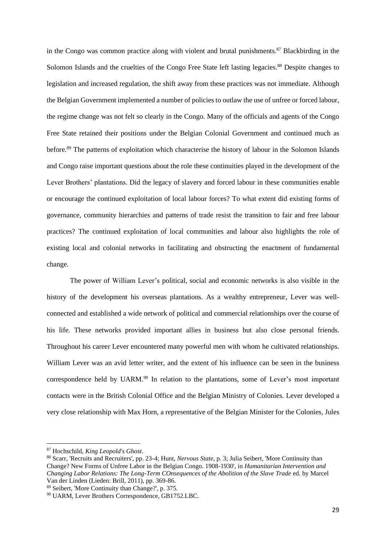in the Congo was common practice along with violent and brutal punishments.<sup>87</sup> Blackbirding in the Solomon Islands and the cruelties of the Congo Free State left lasting legacies.<sup>88</sup> Despite changes to legislation and increased regulation, the shift away from these practices was not immediate. Although the Belgian Government implemented a number of policies to outlaw the use of unfree or forced labour, the regime change was not felt so clearly in the Congo. Many of the officials and agents of the Congo Free State retained their positions under the Belgian Colonial Government and continued much as before.<sup>89</sup> The patterns of exploitation which characterise the history of labour in the Solomon Islands and Congo raise important questions about the role these continuities played in the development of the Lever Brothers' plantations. Did the legacy of slavery and forced labour in these communities enable or encourage the continued exploitation of local labour forces? To what extent did existing forms of governance, community hierarchies and patterns of trade resist the transition to fair and free labour practices? The continued exploitation of local communities and labour also highlights the role of existing local and colonial networks in facilitating and obstructing the enactment of fundamental change.

The power of William Lever's political, social and economic networks is also visible in the history of the development his overseas plantations. As a wealthy entrepreneur, Lever was wellconnected and established a wide network of political and commercial relationships over the course of his life. These networks provided important allies in business but also close personal friends. Throughout his career Lever encountered many powerful men with whom he cultivated relationships. William Lever was an avid letter writer, and the extent of his influence can be seen in the business correspondence held by UARM.<sup>90</sup> In relation to the plantations, some of Lever's most important contacts were in the British Colonial Office and the Belgian Ministry of Colonies. Lever developed a very close relationship with Max Horn, a representative of the Belgian Minister for the Colonies, Jules

<sup>87</sup> Hochschild, *King Leopold's Ghost*.

<sup>88</sup> Scarr, 'Recruits and Recruiters', pp. 23-4; Hunt, *Nervous State*, p. 3; Julia Seibert, 'More Continuity than Change? New Forms of Unfree Labor in the Belgian Congo. 1908-1930', in *Humanitarian Intervention and Changing Labor Relations: The Long-Term COnsequences of the Abolition of the Slave Trade* ed. by Marcel Van der Linden (Lieden: Brill, 2011), pp. 369-86.

<sup>89</sup> Seibert, 'More Continuity than Change?', p. 375.

<sup>90</sup> UARM, Lever Brothers Correspondence, GB1752.LBC.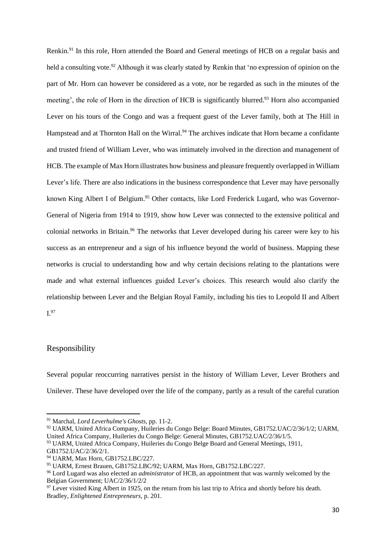Renkin.<sup>91</sup> In this role, Horn attended the Board and General meetings of HCB on a regular basis and held a consulting vote.<sup>92</sup> Although it was clearly stated by Renkin that 'no expression of opinion on the part of Mr. Horn can however be considered as a vote, nor be regarded as such in the minutes of the meeting', the role of Horn in the direction of HCB is significantly blurred.<sup>93</sup> Horn also accompanied Lever on his tours of the Congo and was a frequent guest of the Lever family, both at The Hill in Hampstead and at Thornton Hall on the Wirral.<sup>94</sup> The archives indicate that Horn became a confidante and trusted friend of William Lever, who was intimately involved in the direction and management of HCB. The example of Max Horn illustrates how business and pleasure frequently overlapped in William Lever's life. There are also indications in the business correspondence that Lever may have personally known King Albert I of Belgium.<sup>95</sup> Other contacts, like Lord Frederick Lugard, who was Governor-General of Nigeria from 1914 to 1919, show how Lever was connected to the extensive political and colonial networks in Britain.<sup>96</sup> The networks that Lever developed during his career were key to his success as an entrepreneur and a sign of his influence beyond the world of business. Mapping these networks is crucial to understanding how and why certain decisions relating to the plantations were made and what external influences guided Lever's choices. This research would also clarify the relationship between Lever and the Belgian Royal Family, including his ties to Leopold II and Albert I. 97

#### <span id="page-29-0"></span>Responsibility

Several popular reoccurring narratives persist in the history of William Lever, Lever Brothers and Unilever. These have developed over the life of the company, partly as a result of the careful curation

<sup>91</sup> Marchal, *Lord Leverhulme's Ghosts*, pp. 11-2.

<sup>&</sup>lt;sup>92</sup> UARM, United Africa Company, Huileries du Congo Belge: Board Minutes, GB1752.UAC/2/36/1/2; UARM, United Africa Company, Huileries du Congo Belge: General Minutes, GB1752.UAC/2/36/1/5.

<sup>93</sup> UARM, United Africa Company, Huileries du Congo Belge Board and General Meetings, 1911, GB1752.UAC/2/36/2/1.

<sup>94</sup> UARM, Max Horn, GB1752.LBC/227.

<sup>95</sup> UARM, Ernest Brauen, GB1752.LBC/92; UARM, Max Horn, GB1752.LBC/227.

<sup>96</sup> Lord Lugard was also elected an *administrator* of HCB, an appointment that was warmly welcomed by the Belgian Government; UAC/2/36/1/2/2

<sup>&</sup>lt;sup>97</sup> Lever visited King Albert in 1925, on the return from his last trip to Africa and shortly before his death. Bradley, *Enlightened Entrepreneurs*, p. 201.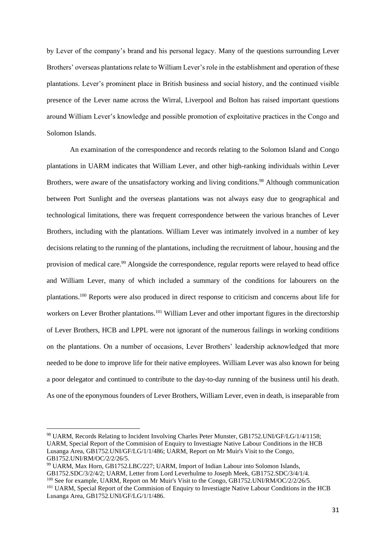by Lever of the company's brand and his personal legacy. Many of the questions surrounding Lever Brothers' overseas plantations relate to William Lever's role in the establishment and operation of these plantations. Lever's prominent place in British business and social history, and the continued visible presence of the Lever name across the Wirral, Liverpool and Bolton has raised important questions around William Lever's knowledge and possible promotion of exploitative practices in the Congo and Solomon Islands.

An examination of the correspondence and records relating to the Solomon Island and Congo plantations in UARM indicates that William Lever, and other high-ranking individuals within Lever Brothers, were aware of the unsatisfactory working and living conditions.<sup>98</sup> Although communication between Port Sunlight and the overseas plantations was not always easy due to geographical and technological limitations, there was frequent correspondence between the various branches of Lever Brothers, including with the plantations. William Lever was intimately involved in a number of key decisions relating to the running of the plantations, including the recruitment of labour, housing and the provision of medical care.<sup>99</sup> Alongside the correspondence, regular reports were relayed to head office and William Lever, many of which included a summary of the conditions for labourers on the plantations.<sup>100</sup> Reports were also produced in direct response to criticism and concerns about life for workers on Lever Brother plantations.<sup>101</sup> William Lever and other important figures in the directorship of Lever Brothers, HCB and LPPL were not ignorant of the numerous failings in working conditions on the plantations. On a number of occasions, Lever Brothers' leadership acknowledged that more needed to be done to improve life for their native employees. William Lever was also known for being a poor delegator and continued to contribute to the day-to-day running of the business until his death. As one of the eponymous founders of Lever Brothers, William Lever, even in death, is inseparable from

<sup>98</sup> UARM, Records Relating to Incident Involving Charles Peter Munster, GB1752.UNI/GF/LG/1/4/1158; UARM, Special Report of the Commision of Enquiry to Investiagte Native Labour Conditions in the HCB Lusanga Area, GB1752.UNI/GF/LG/1/1/486; UARM, Report on Mr Muir's Visit to the Congo, GB1752.UNI/RM/OC/2/2/26/5.

<sup>99</sup> UARM, Max Horn, GB1752.LBC/227; UARM, Import of Indian Labour into Solomon Islands, GB1752.SDC/3/2/4/2; UARM, Letter from Lord Leverhulme to Joseph Meek, GB1752.SDC/3/4/1/4. <sup>100</sup> See for example, UARM, Report on Mr Muir's Visit to the Congo, GB1752.UNI/RM/OC/2/2/26/5.

<sup>&</sup>lt;sup>101</sup> UARM, Special Report of the Commision of Enquiry to Investiagte Native Labour Conditions in the HCB Lusanga Area, GB1752.UNI/GF/LG/1/1/486.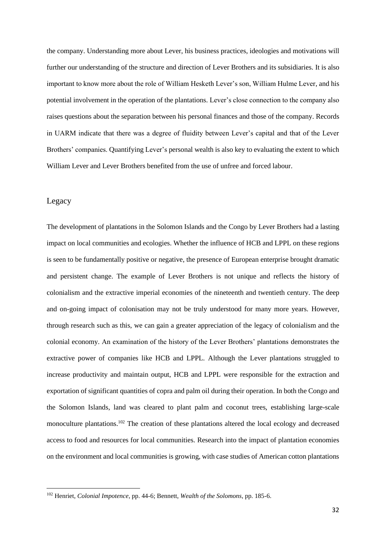the company. Understanding more about Lever, his business practices, ideologies and motivations will further our understanding of the structure and direction of Lever Brothers and its subsidiaries. It is also important to know more about the role of William Hesketh Lever's son, William Hulme Lever, and his potential involvement in the operation of the plantations. Lever's close connection to the company also raises questions about the separation between his personal finances and those of the company. Records in UARM indicate that there was a degree of fluidity between Lever's capital and that of the Lever Brothers' companies. Quantifying Lever's personal wealth is also key to evaluating the extent to which William Lever and Lever Brothers benefited from the use of unfree and forced labour.

#### <span id="page-31-0"></span>Legacy

The development of plantations in the Solomon Islands and the Congo by Lever Brothers had a lasting impact on local communities and ecologies. Whether the influence of HCB and LPPL on these regions is seen to be fundamentally positive or negative, the presence of European enterprise brought dramatic and persistent change. The example of Lever Brothers is not unique and reflects the history of colonialism and the extractive imperial economies of the nineteenth and twentieth century. The deep and on-going impact of colonisation may not be truly understood for many more years. However, through research such as this, we can gain a greater appreciation of the legacy of colonialism and the colonial economy. An examination of the history of the Lever Brothers' plantations demonstrates the extractive power of companies like HCB and LPPL. Although the Lever plantations struggled to increase productivity and maintain output, HCB and LPPL were responsible for the extraction and exportation of significant quantities of copra and palm oil during their operation. In both the Congo and the Solomon Islands, land was cleared to plant palm and coconut trees, establishing large-scale monoculture plantations.<sup>102</sup> The creation of these plantations altered the local ecology and decreased access to food and resources for local communities. Research into the impact of plantation economies on the environment and local communities is growing, with case studies of American cotton plantations

<sup>102</sup> Henriet, *Colonial Impotence*, pp. 44-6; Bennett, *Wealth of the Solomons*, pp. 185-6.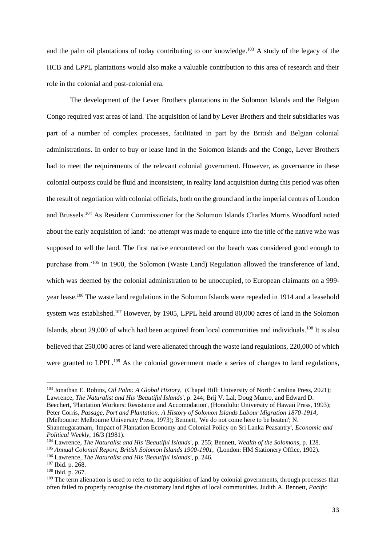and the palm oil plantations of today contributing to our knowledge.<sup>103</sup> A study of the legacy of the HCB and LPPL plantations would also make a valuable contribution to this area of research and their role in the colonial and post-colonial era.

The development of the Lever Brothers plantations in the Solomon Islands and the Belgian Congo required vast areas of land. The acquisition of land by Lever Brothers and their subsidiaries was part of a number of complex processes, facilitated in part by the British and Belgian colonial administrations. In order to buy or lease land in the Solomon Islands and the Congo, Lever Brothers had to meet the requirements of the relevant colonial government. However, as governance in these colonial outposts could be fluid and inconsistent, in reality land acquisition during this period was often the result of negotiation with colonial officials, both on the ground and in the imperial centres of London and Brussels.<sup>104</sup> As Resident Commissioner for the Solomon Islands Charles Morris Woodford noted about the early acquisition of land: 'no attempt was made to enquire into the title of the native who was supposed to sell the land. The first native encountered on the beach was considered good enough to purchase from.'<sup>105</sup> In 1900, the Solomon (Waste Land) Regulation allowed the transference of land, which was deemed by the colonial administration to be unoccupied, to European claimants on a 999 year lease.<sup>106</sup> The waste land regulations in the Solomon Islands were repealed in 1914 and a leasehold system was established.<sup>107</sup> However, by 1905, LPPL held around 80,000 acres of land in the Solomon Islands, about 29,000 of which had been acquired from local communities and individuals.<sup>108</sup> It is also believed that 250,000 acres of land were alienated through the waste land regulations, 220,000 of which were granted to LPPL.<sup>109</sup> As the colonial government made a series of changes to land regulations,

<sup>103</sup> Jonathan E. Robins, *Oil Palm: A Global History*, (Chapel Hill: University of North Carolina Press, 2021); Lawrence, *The Naturalist and His 'Beautiful Islands'*, p. 244; Brij V. Lal, Doug Munro, and Edward D. Beechert, 'Plantation Workers: Resistance and Accomodation'*,* (Honolulu: University of Hawaii Press, 1993);

Peter Corris, *Passage, Port and Plantation: A History of Solomon Islands Labour Migration 1870-1914*, (Melbourne: Melbourne University Press, 1973); Bennett, 'We do not come here to be beaten'; N. Shanmugaratnam, 'Impact of Plantation Economy and Colonial Policy on Sri Lanka Peasantry', *Economic and* 

*Political Weekly,* 16/3 (1981).

<sup>104</sup> Lawrence, *The Naturalist and His 'Beautiful Islands'*, p. 255; Bennett, *Wealth of the Solomons*, p. 128.

<sup>105</sup> *Annual Colonial Report, British Solomon Islands 1900-1901*, (London: HM Stationery Office, 1902).

<sup>106</sup> Lawrence, *The Naturalist and His 'Beautiful Islands'*, p. 246.

<sup>107</sup> Ibid. p. 268.

<sup>108</sup> Ibid. p. 267.

<sup>&</sup>lt;sup>109</sup> The term alienation is used to refer to the acquisition of land by colonial governments, through processes that often failed to properly recognise the customary land rights of local communities. Judith A. Bennett, *Pacific*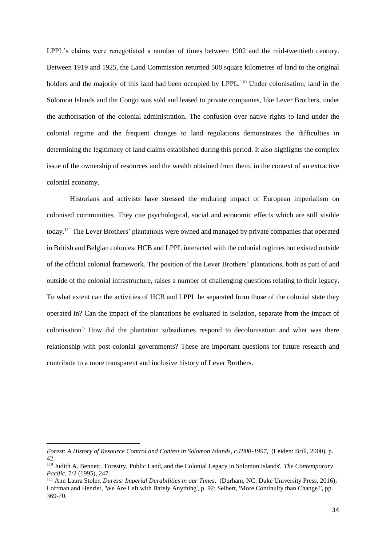LPPL's claims were renegotiated a number of times between 1902 and the mid-twentieth century. Between 1919 and 1925, the Land Commission returned 508 square kilometres of land to the original holders and the majority of this land had been occupied by LPPL.<sup>110</sup> Under colonisation, land in the Solomon Islands and the Congo was sold and leased to private companies, like Lever Brothers, under the authorisation of the colonial administration. The confusion over native rights to land under the colonial regime and the frequent changes to land regulations demonstrates the difficulties in determining the legitimacy of land claims established during this period. It also highlights the complex issue of the ownership of resources and the wealth obtained from them, in the context of an extractive colonial economy.

Historians and activists have stressed the enduring impact of European imperialism on colonised communities. They cite psychological, social and economic effects which are still visible today. <sup>111</sup> The Lever Brothers' plantations were owned and managed by private companies that operated in British and Belgian colonies. HCB and LPPL interacted with the colonial regimes but existed outside of the official colonial framework. The position of the Lever Brothers' plantations, both as part of and outside of the colonial infrastructure, raises a number of challenging questions relating to their legacy. To what extent can the activities of HCB and LPPL be separated from those of the colonial state they operated in? Can the impact of the plantations be evaluated in isolation, separate from the impact of colonisation? How did the plantation subsidiaries respond to decolonisation and what was there relationship with post-colonial governments? These are important questions for future research and contribute to a more transparent and inclusive history of Lever Brothers.

*Forest: A History of Resource Control and Contest in Solomon Islands, c.1800-1997*, (Leiden: Brill, 2000), p. 42.

<sup>110</sup> Judith A. Bennett, 'Forestry, Public Land, and the Colonial Legacy in Solomon Islands', *The Contemporary Pacific,* 7/2 (1995), 247.

<sup>111</sup> Ann Laura Stoler, *Duress: Imperial Durabilities in our Times*, (Durham, NC: Duke University Press, 2016); Loffman and Henriet, 'We Are Left with Barely Anything', p. 92; Seibert, 'More Continuity than Change?', pp. 369-70.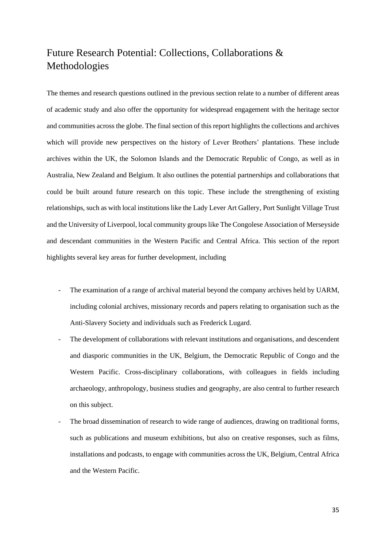## <span id="page-34-0"></span>Future Research Potential: Collections, Collaborations & Methodologies

The themes and research questions outlined in the previous section relate to a number of different areas of academic study and also offer the opportunity for widespread engagement with the heritage sector and communities across the globe. The final section of this report highlights the collections and archives which will provide new perspectives on the history of Lever Brothers' plantations. These include archives within the UK, the Solomon Islands and the Democratic Republic of Congo, as well as in Australia, New Zealand and Belgium. It also outlines the potential partnerships and collaborations that could be built around future research on this topic. These include the strengthening of existing relationships, such as with local institutions like the Lady Lever Art Gallery, Port Sunlight Village Trust and the University of Liverpool, local community groups like The Congolese Association of Merseyside and descendant communities in the Western Pacific and Central Africa. This section of the report highlights several key areas for further development, including

- The examination of a range of archival material beyond the company archives held by UARM, including colonial archives, missionary records and papers relating to organisation such as the Anti-Slavery Society and individuals such as Frederick Lugard.
- The development of collaborations with relevant institutions and organisations, and descendent and diasporic communities in the UK, Belgium, the Democratic Republic of Congo and the Western Pacific. Cross-disciplinary collaborations, with colleagues in fields including archaeology, anthropology, business studies and geography, are also central to further research on this subject.
- The broad dissemination of research to wide range of audiences, drawing on traditional forms, such as publications and museum exhibitions, but also on creative responses, such as films, installations and podcasts, to engage with communities across the UK, Belgium, Central Africa and the Western Pacific.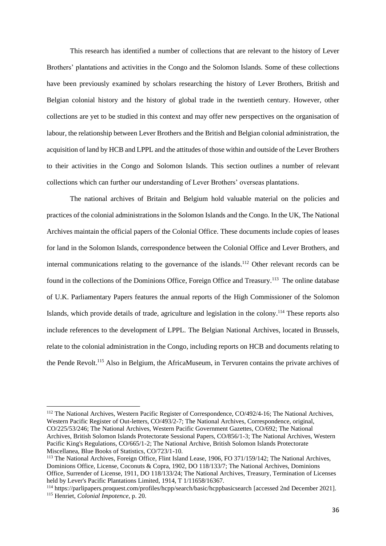This research has identified a number of collections that are relevant to the history of Lever Brothers' plantations and activities in the Congo and the Solomon Islands. Some of these collections have been previously examined by scholars researching the history of Lever Brothers, British and Belgian colonial history and the history of global trade in the twentieth century. However, other collections are yet to be studied in this context and may offer new perspectives on the organisation of labour, the relationship between Lever Brothers and the British and Belgian colonial administration, the acquisition of land by HCB and LPPL and the attitudes of those within and outside of the Lever Brothers to their activities in the Congo and Solomon Islands. This section outlines a number of relevant collections which can further our understanding of Lever Brothers' overseas plantations.

The national archives of Britain and Belgium hold valuable material on the policies and practices of the colonial administrations in the Solomon Islands and the Congo. In the UK, The National Archives maintain the official papers of the Colonial Office. These documents include copies of leases for land in the Solomon Islands, correspondence between the Colonial Office and Lever Brothers, and internal communications relating to the governance of the islands.<sup>112</sup> Other relevant records can be found in the collections of the Dominions Office, Foreign Office and Treasury.<sup>113</sup> The online database of U.K. Parliamentary Papers features the annual reports of the High Commissioner of the Solomon Islands, which provide details of trade, agriculture and legislation in the colony.<sup>114</sup> These reports also include references to the development of LPPL. The Belgian National Archives, located in Brussels, relate to the colonial administration in the Congo, including reports on HCB and documents relating to the Pende Revolt.<sup>115</sup> Also in Belgium, the AfricaMuseum, in Tervuren contains the private archives of

<sup>112</sup> The National Archives, Western Pacific Register of Correspondence, CO/492/4-16; The National Archives, Western Pacific Register of Out-letters, CO/493/2-7; The National Archives, Correspondence, original, CO/225/53/246; The National Archives, Western Pacific Government Gazettes, CO/692; The National Archives, British Solomon Islands Protectorate Sessional Papers, CO/856/1-3; The National Archives, Western Pacific King's Regulations, CO/665/1-2; The National Archive, British Solomon Islands Protectorate Miscellanea, Blue Books of Statistics, CO/723/1-10.

<sup>113</sup> The National Archives, Foreign Office, Flint Island Lease, 1906, FO 371/159/142; The National Archives, Dominions Office, License, Coconuts & Copra, 1902, DO 118/133/7; The National Archives, Dominions Office, Surrender of License, 1911, DO 118/133/24; The National Archives, Treasury, Termination of Licenses held by Lever's Pacific Plantations Limited, 1914, T 1/11658/16367.

<sup>114</sup> https://parlipapers.proquest.com/profiles/hcpp/search/basic/hcppbasicsearch [accessed 2nd December 2021]. <sup>115</sup> Henriet, *Colonial Impotence*, p. 20.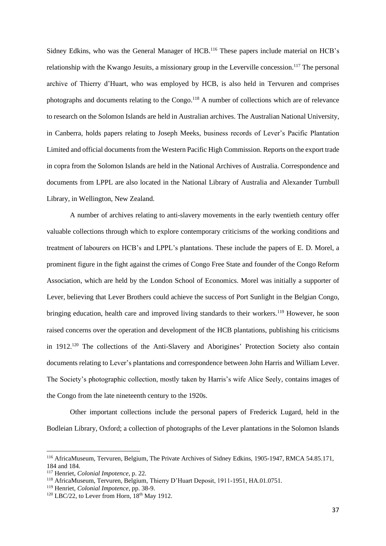Sidney Edkins, who was the General Manager of HCB.<sup>116</sup> These papers include material on HCB's relationship with the Kwango Jesuits, a missionary group in the Leverville concession.<sup>117</sup> The personal archive of Thierry d'Huart, who was employed by HCB, is also held in Tervuren and comprises photographs and documents relating to the Congo.<sup>118</sup> A number of collections which are of relevance to research on the Solomon Islands are held in Australian archives. The Australian National University, in Canberra, holds papers relating to Joseph Meeks, business records of Lever's Pacific Plantation Limited and official documents from the Western Pacific High Commission. Reports on the export trade in copra from the Solomon Islands are held in the National Archives of Australia. Correspondence and documents from LPPL are also located in the National Library of Australia and Alexander Turnbull Library, in Wellington, New Zealand.

A number of archives relating to anti-slavery movements in the early twentieth century offer valuable collections through which to explore contemporary criticisms of the working conditions and treatment of labourers on HCB's and LPPL's plantations. These include the papers of E. D. Morel, a prominent figure in the fight against the crimes of Congo Free State and founder of the Congo Reform Association, which are held by the London School of Economics. Morel was initially a supporter of Lever, believing that Lever Brothers could achieve the success of Port Sunlight in the Belgian Congo, bringing education, health care and improved living standards to their workers.<sup>119</sup> However, he soon raised concerns over the operation and development of the HCB plantations, publishing his criticisms in 1912.<sup>120</sup> The collections of the Anti-Slavery and Aborigines' Protection Society also contain documents relating to Lever's plantations and correspondence between John Harris and William Lever. The Society's photographic collection, mostly taken by Harris's wife Alice Seely, contains images of the Congo from the late nineteenth century to the 1920s.

Other important collections include the personal papers of Frederick Lugard, held in the Bodleian Library, Oxford; a collection of photographs of the Lever plantations in the Solomon Islands

<sup>116</sup> AfricaMuseum, Tervuren, Belgium, The Private Archives of Sidney Edkins, 1905-1947, RMCA 54.85.171, 184 and 184.

<sup>117</sup> Henriet, *Colonial Impotence*, p. 22.

<sup>118</sup> AfricaMuseum, Tervuren, Belgium, Thierry D'Huart Deposit, 1911-1951, HA.01.0751.

<sup>119</sup> Henriet, *Colonial Impotence*, pp. 38-9.

 $120$  LBC/22, to Lever from Horn,  $18<sup>th</sup>$  May 1912.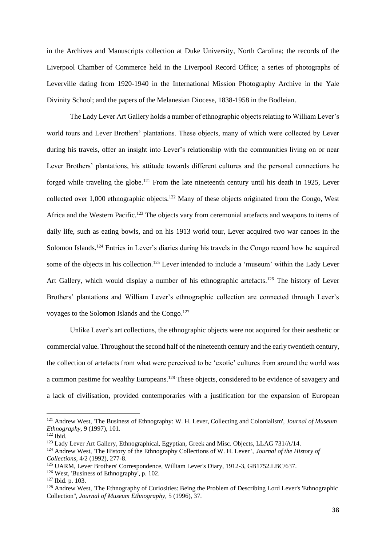in the Archives and Manuscripts collection at Duke University, North Carolina; the records of the Liverpool Chamber of Commerce held in the Liverpool Record Office; a series of photographs of Leverville dating from 1920-1940 in the International Mission Photography Archive in the Yale Divinity School; and the papers of the Melanesian Diocese, 1838-1958 in the Bodleian.

The Lady Lever Art Gallery holds a number of ethnographic objects relating to William Lever's world tours and Lever Brothers' plantations. These objects, many of which were collected by Lever during his travels, offer an insight into Lever's relationship with the communities living on or near Lever Brothers' plantations, his attitude towards different cultures and the personal connections he forged while traveling the globe.<sup>121</sup> From the late nineteenth century until his death in 1925, Lever collected over 1,000 ethnographic objects.<sup>122</sup> Many of these objects originated from the Congo, West Africa and the Western Pacific.<sup>123</sup> The objects vary from ceremonial artefacts and weapons to items of daily life, such as eating bowls, and on his 1913 world tour, Lever acquired two war canoes in the Solomon Islands.<sup>124</sup> Entries in Lever's diaries during his travels in the Congo record how he acquired some of the objects in his collection.<sup>125</sup> Lever intended to include a 'museum' within the Lady Lever Art Gallery, which would display a number of his ethnographic artefacts.<sup>126</sup> The history of Lever Brothers' plantations and William Lever's ethnographic collection are connected through Lever's voyages to the Solomon Islands and the Congo.<sup>127</sup>

Unlike Lever's art collections, the ethnographic objects were not acquired for their aesthetic or commercial value. Throughout the second half of the nineteenth century and the early twentieth century, the collection of artefacts from what were perceived to be 'exotic' cultures from around the world was a common pastime for wealthy Europeans.<sup>128</sup> These objects, considered to be evidence of savagery and a lack of civilisation, provided contemporaries with a justification for the expansion of European

<sup>121</sup> Andrew West, 'The Business of Ethnography: W. H. Lever, Collecting and Colonialism', *Journal of Museum Ethnography,* 9 (1997), 101.

 $122$  Ibid.

<sup>&</sup>lt;sup>123</sup> Lady Lever Art Gallery, Ethnographical, Egyptian, Greek and Misc. Objects, LLAG 731/A/14.

<sup>124</sup> Andrew West, 'The History of the Ethnography Collections of W. H. Lever ', *Journal of the History of Collections,* 4/2 (1992), 277-8.

<sup>125</sup> UARM, Lever Brothers' Correspondence, William Lever's Diary, 1912-3, GB1752.LBC/637.

<sup>126</sup> West, 'Business of Ethnography', p. 102.

<sup>127</sup> Ibid. p. 103.

<sup>&</sup>lt;sup>128</sup> Andrew West, 'The Ethnography of Curiosities: Being the Problem of Describing Lord Lever's 'Ethnographic Collection'', *Journal of Museum Ethnography,* 5 (1996), 37.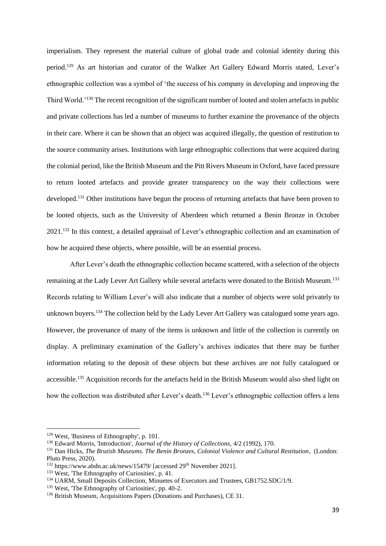imperialism. They represent the material culture of global trade and colonial identity during this period.<sup>129</sup> As art historian and curator of the Walker Art Gallery Edward Morris stated, Lever's ethnographic collection was a symbol of 'the success of his company in developing and improving the Third World.'<sup>130</sup> The recent recognition of the significant number of looted and stolen artefacts in public and private collections has led a number of museums to further examine the provenance of the objects in their care. Where it can be shown that an object was acquired illegally, the question of restitution to the source community arises. Institutions with large ethnographic collections that were acquired during the colonial period, like the British Museum and the Pitt Rivers Museum in Oxford, have faced pressure to return looted artefacts and provide greater transparency on the way their collections were developed.<sup>131</sup> Other institutions have begun the process of returning artefacts that have been proven to be looted objects, such as the University of Aberdeen which returned a Benin Bronze in October 2021.<sup>132</sup> In this context, a detailed appraisal of Lever's ethnographic collection and an examination of how he acquired these objects, where possible, will be an essential process.

After Lever's death the ethnographic collection became scattered, with a selection of the objects remaining at the Lady Lever Art Gallery while several artefacts were donated to the British Museum.<sup>133</sup> Records relating to William Lever's will also indicate that a number of objects were sold privately to unknown buyers.<sup>134</sup> The collection held by the Lady Lever Art Gallery was catalogued some years ago. However, the provenance of many of the items is unknown and little of the collection is currently on display. A preliminary examination of the Gallery's archives indicates that there may be further information relating to the deposit of these objects but these archives are not fully catalogued or accessible.<sup>135</sup> Acquisition records for the artefacts held in the British Museum would also shed light on how the collection was distributed after Lever's death.<sup>136</sup> Lever's ethnographic collection offers a lens

<sup>129</sup> West, 'Business of Ethnography', p. 101.

<sup>130</sup> Edward Morris, 'Introduction', *Journal of the History of Collections,* 4/2 (1992), 170.

<sup>131</sup> Dan Hicks, *The Brutish Museums. The Benin Bronzes, Colonial Violence and Cultural Restitution*, (London: Pluto Press, 2020).

<sup>&</sup>lt;sup>132</sup> https://www.abdn.ac.uk/news/15479/ [accessed 29<sup>th</sup> November 2021].

<sup>&</sup>lt;sup>133</sup> West. The Ethnography of Curiosities', p. 41.

<sup>134</sup> UARM, Small Deposits Collection, Minuetes of Executors and Trustees, GB1752.SDC/1/9.

<sup>&</sup>lt;sup>135</sup> West, 'The Ethnography of Curiosities', pp. 40-2.

<sup>&</sup>lt;sup>136</sup> British Museum, Acquisitions Papers (Donations and Purchases), CE 31.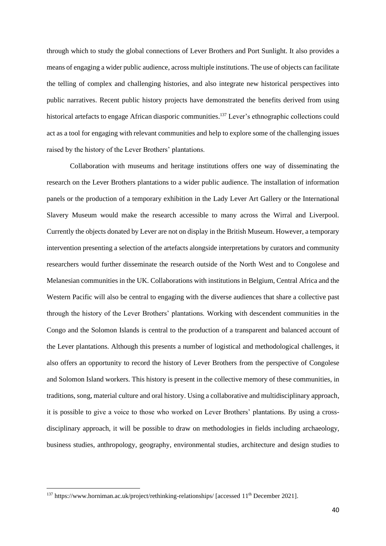through which to study the global connections of Lever Brothers and Port Sunlight. It also provides a means of engaging a wider public audience, across multiple institutions. The use of objects can facilitate the telling of complex and challenging histories, and also integrate new historical perspectives into public narratives. Recent public history projects have demonstrated the benefits derived from using historical artefacts to engage African diasporic communities.<sup>137</sup> Lever's ethnographic collections could act as a tool for engaging with relevant communities and help to explore some of the challenging issues raised by the history of the Lever Brothers' plantations.

Collaboration with museums and heritage institutions offers one way of disseminating the research on the Lever Brothers plantations to a wider public audience. The installation of information panels or the production of a temporary exhibition in the Lady Lever Art Gallery or the International Slavery Museum would make the research accessible to many across the Wirral and Liverpool. Currently the objects donated by Lever are not on display in the British Museum. However, a temporary intervention presenting a selection of the artefacts alongside interpretations by curators and community researchers would further disseminate the research outside of the North West and to Congolese and Melanesian communities in the UK. Collaborations with institutions in Belgium, Central Africa and the Western Pacific will also be central to engaging with the diverse audiences that share a collective past through the history of the Lever Brothers' plantations. Working with descendent communities in the Congo and the Solomon Islands is central to the production of a transparent and balanced account of the Lever plantations. Although this presents a number of logistical and methodological challenges, it also offers an opportunity to record the history of Lever Brothers from the perspective of Congolese and Solomon Island workers. This history is present in the collective memory of these communities, in traditions, song, material culture and oral history. Using a collaborative and multidisciplinary approach, it is possible to give a voice to those who worked on Lever Brothers' plantations. By using a crossdisciplinary approach, it will be possible to draw on methodologies in fields including archaeology, business studies, anthropology, geography, environmental studies, architecture and design studies to

<sup>&</sup>lt;sup>137</sup> https://www.horniman.ac.uk/project/rethinking-relationships/ [accessed 11<sup>th</sup> December 2021].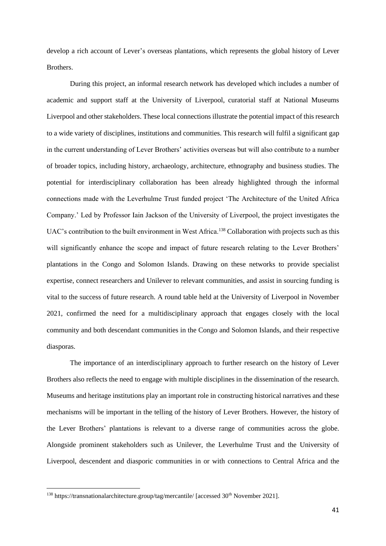develop a rich account of Lever's overseas plantations, which represents the global history of Lever Brothers.

During this project, an informal research network has developed which includes a number of academic and support staff at the University of Liverpool, curatorial staff at National Museums Liverpool and other stakeholders. These local connections illustrate the potential impact of this research to a wide variety of disciplines, institutions and communities. This research will fulfil a significant gap in the current understanding of Lever Brothers' activities overseas but will also contribute to a number of broader topics, including history, archaeology, architecture, ethnography and business studies. The potential for interdisciplinary collaboration has been already highlighted through the informal connections made with the Leverhulme Trust funded project 'The Architecture of the United Africa Company.' Led by Professor Iain Jackson of the University of Liverpool, the project investigates the UAC's contribution to the built environment in West Africa.<sup>138</sup> Collaboration with projects such as this will significantly enhance the scope and impact of future research relating to the Lever Brothers' plantations in the Congo and Solomon Islands. Drawing on these networks to provide specialist expertise, connect researchers and Unilever to relevant communities, and assist in sourcing funding is vital to the success of future research. A round table held at the University of Liverpool in November 2021, confirmed the need for a multidisciplinary approach that engages closely with the local community and both descendant communities in the Congo and Solomon Islands, and their respective diasporas.

The importance of an interdisciplinary approach to further research on the history of Lever Brothers also reflects the need to engage with multiple disciplines in the dissemination of the research. Museums and heritage institutions play an important role in constructing historical narratives and these mechanisms will be important in the telling of the history of Lever Brothers. However, the history of the Lever Brothers' plantations is relevant to a diverse range of communities across the globe. Alongside prominent stakeholders such as Unilever, the Leverhulme Trust and the University of Liverpool, descendent and diasporic communities in or with connections to Central Africa and the

<sup>&</sup>lt;sup>138</sup> https://transnationalarchitecture.group/tag/mercantile/ [accessed  $30<sup>th</sup>$  November 2021].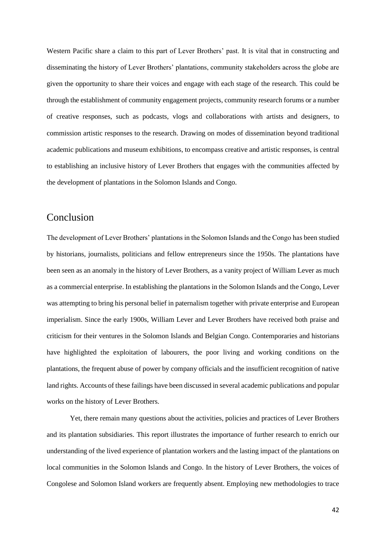Western Pacific share a claim to this part of Lever Brothers' past. It is vital that in constructing and disseminating the history of Lever Brothers' plantations, community stakeholders across the globe are given the opportunity to share their voices and engage with each stage of the research. This could be through the establishment of community engagement projects, community research forums or a number of creative responses, such as podcasts, vlogs and collaborations with artists and designers, to commission artistic responses to the research. Drawing on modes of dissemination beyond traditional academic publications and museum exhibitions, to encompass creative and artistic responses, is central to establishing an inclusive history of Lever Brothers that engages with the communities affected by the development of plantations in the Solomon Islands and Congo.

#### <span id="page-41-0"></span>Conclusion

The development of Lever Brothers' plantations in the Solomon Islands and the Congo has been studied by historians, journalists, politicians and fellow entrepreneurs since the 1950s. The plantations have been seen as an anomaly in the history of Lever Brothers, as a vanity project of William Lever as much as a commercial enterprise. In establishing the plantations in the Solomon Islands and the Congo, Lever was attempting to bring his personal belief in paternalism together with private enterprise and European imperialism. Since the early 1900s, William Lever and Lever Brothers have received both praise and criticism for their ventures in the Solomon Islands and Belgian Congo. Contemporaries and historians have highlighted the exploitation of labourers, the poor living and working conditions on the plantations, the frequent abuse of power by company officials and the insufficient recognition of native land rights. Accounts of these failings have been discussed in several academic publications and popular works on the history of Lever Brothers.

Yet, there remain many questions about the activities, policies and practices of Lever Brothers and its plantation subsidiaries. This report illustrates the importance of further research to enrich our understanding of the lived experience of plantation workers and the lasting impact of the plantations on local communities in the Solomon Islands and Congo. In the history of Lever Brothers, the voices of Congolese and Solomon Island workers are frequently absent. Employing new methodologies to trace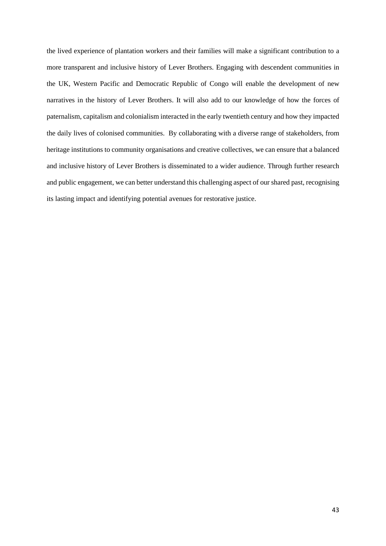the lived experience of plantation workers and their families will make a significant contribution to a more transparent and inclusive history of Lever Brothers. Engaging with descendent communities in the UK, Western Pacific and Democratic Republic of Congo will enable the development of new narratives in the history of Lever Brothers. It will also add to our knowledge of how the forces of paternalism, capitalism and colonialism interacted in the early twentieth century and how they impacted the daily lives of colonised communities. By collaborating with a diverse range of stakeholders, from heritage institutions to community organisations and creative collectives, we can ensure that a balanced and inclusive history of Lever Brothers is disseminated to a wider audience. Through further research and public engagement, we can better understand this challenging aspect of our shared past, recognising its lasting impact and identifying potential avenues for restorative justice.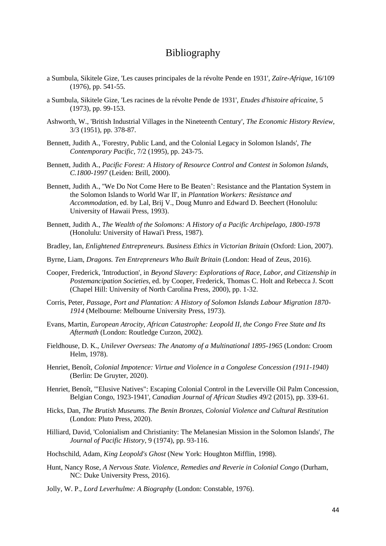## Bibliography

- <span id="page-43-0"></span>a Sumbula, Sikitele Gize, 'Les causes principales de la révolte Pende en 1931', *Zaïre-Afrique,* 16/109 (1976), pp. 541-55.
- a Sumbula, Sikitele Gize, 'Les racines de la révolte Pende de 1931', *Etudes d'histoire africaine*, 5 (1973), pp. 99-153.
- Ashworth, W., 'British Industrial Villages in the Nineteenth Century', *The Economic History Review,* 3/3 (1951), pp. 378-87.
- Bennett, Judith A., 'Forestry, Public Land, and the Colonial Legacy in Solomon Islands', *The Contemporary Pacific,* 7/2 (1995), pp. 243-75.
- Bennett, Judith A., *Pacific Forest: A History of Resource Control and Contest in Solomon Islands, C.1800-1997* (Leiden: Brill, 2000).
- Bennett, Judith A., ''We Do Not Come Here to Be Beaten': Resistance and the Plantation System in the Solomon Islands to World War II', in *Plantation Workers: Resistance and Accommodation*, ed. by Lal, Brij V., Doug Munro and Edward D. Beechert (Honolulu: University of Hawaii Press, 1993).
- Bennett, Judith A., *The Wealth of the Solomons: A History of a Pacific Archipelago, 1800-1978* (Honolulu: University of Hawai'i Press, 1987).
- Bradley, Ian, *Enlightened Entrepreneurs. Business Ethics in Victorian Britain* (Oxford: Lion, 2007).
- Byrne, Liam, *Dragons. Ten Entrepreneurs Who Built Britain* (London: Head of Zeus, 2016).
- Cooper, Frederick, 'Introduction', in *Beyond Slavery: Explorations of Race, Labor, and Citizenship in Postemancipation Societies*, ed. by Cooper, Frederick, Thomas C. Holt and Rebecca J. Scott (Chapel Hill: University of North Carolina Press, 2000), pp. 1-32.
- Corris, Peter, *Passage, Port and Plantation: A History of Solomon Islands Labour Migration 1870- 1914* (Melbourne: Melbourne University Press, 1973).
- Evans, Martin, *European Atrocity, African Catastrophe: Leopold II, the Congo Free State and Its Aftermath* (London: Routledge Curzon, 2002).
- Fieldhouse, D. K., *Unilever Overseas: The Anatomy of a Multinational 1895-1965* (London: Croom Helm, 1978).
- Henriet, Benoît, *Colonial Impotence: Virtue and Violence in a Congolese Concession (1911-1940)* (Berlin: De Gruyter, 2020).
- Henriet, Benoît, '"Elusive Natives": Escaping Colonial Control in the Leverville Oil Palm Concession, Belgian Congo, 1923-1941', *Canadian Journal of African Studies* 49/2 (2015), pp. 339-61.
- Hicks, Dan, *The Brutish Museums. The Benin Bronzes, Colonial Violence and Cultural Restitution* (London: Pluto Press, 2020).
- Hilliard, David, 'Colonialism and Christianity: The Melanesian Mission in the Solomon Islands', *The Journal of Pacific History*, 9 (1974), pp. 93-116.
- Hochschild, Adam, *King Leopold's Ghost* (New York: Houghton Mifflin, 1998).
- Hunt, Nancy Rose, *A Nervous State. Violence, Remedies and Reverie in Colonial Congo* (Durham, NC: Duke University Press, 2016).
- Jolly, W. P., *Lord Leverhulme: A Biography* (London: Constable, 1976).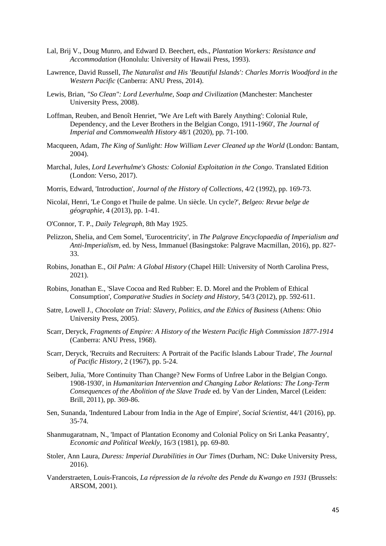- Lal, Brij V., Doug Munro, and Edward D. Beechert, eds., *Plantation Workers: Resistance and Accommodation* (Honolulu: University of Hawaii Press, 1993).
- Lawrence, David Russell, *The Naturalist and His 'Beautiful Islands': Charles Morris Woodford in the Western Pacific* (Canberra: ANU Press, 2014).
- Lewis, Brian, *"So Clean": Lord Leverhulme, Soap and Civilization* (Manchester: Manchester University Press, 2008).
- Loffman, Reuben, and Benoît Henriet, ''We Are Left with Barely Anything': Colonial Rule, Dependency, and the Lever Brothers in the Belgian Congo, 1911-1960', *The Journal of Imperial and Commonwealth History* 48/1 (2020), pp. 71-100.
- Macqueen, Adam, *The King of Sunlight: How William Lever Cleaned up the World* (London: Bantam, 2004).
- Marchal, Jules, *Lord Leverhulme's Ghosts: Colonial Exploitation in the Congo*. Translated Edition (London: Verso, 2017).
- Morris, Edward, 'Introduction', *Journal of the History of Collections,* 4/2 (1992), pp. 169-73.
- Nicolaï, Henri, 'Le Congo et l'huile de palme. Un siècle. Un cycle?', *Belgeo: Revue belge de géographie*, 4 (2013), pp. 1-41.
- O'Connor, T. P., *Daily Telegraph*, 8th May 1925.
- Pelizzon, Shelia, and Cem Somel, 'Eurocentricity', in *The Palgrave Encyclopaedia of Imperialism and Anti-Imperialism*, ed. by Ness, Immanuel (Basingstoke: Palgrave Macmillan, 2016), pp. 827- 33.
- Robins, Jonathan E., *Oil Palm: A Global History* (Chapel Hill: University of North Carolina Press, 2021).
- Robins, Jonathan E., 'Slave Cocoa and Red Rubber: E. D. Morel and the Problem of Ethical Consumption', *Comparative Studies in Society and History,* 54/3 (2012), pp. 592-611.
- Satre, Lowell J., *Chocolate on Trial: Slavery, Politics, and the Ethics of Business* (Athens: Ohio University Press, 2005).
- Scarr, Deryck, *Fragments of Empire: A History of the Western Pacific High Commission 1877-1914* (Canberra: ANU Press, 1968).
- Scarr, Deryck, 'Recruits and Recruiters: A Portrait of the Pacific Islands Labour Trade', *The Journal of Pacific History*, 2 (1967), pp. 5-24.
- Seibert, Julia, 'More Continuity Than Change? New Forms of Unfree Labor in the Belgian Congo. 1908-1930', in *Humanitarian Intervention and Changing Labor Relations: The Long-Term Consequences of the Abolition of the Slave Trade* ed. by Van der Linden, Marcel (Leiden: Brill, 2011), pp. 369-86.
- Sen, Sunanda, 'Indentured Labour from India in the Age of Empire', *Social Scientist,* 44/1 (2016), pp. 35-74.
- Shanmugaratnam, N., 'Impact of Plantation Economy and Colonial Policy on Sri Lanka Peasantry', *Economic and Political Weekly,* 16/3 (1981), pp. 69-80.
- Stoler, Ann Laura, *Duress: Imperial Durabilities in Our Times* (Durham, NC: Duke University Press, 2016).
- Vanderstraeten, Louis-Francois, *La répression de la révolte des Pende du Kwango en 1931* (Brussels: ARSOM, 2001).